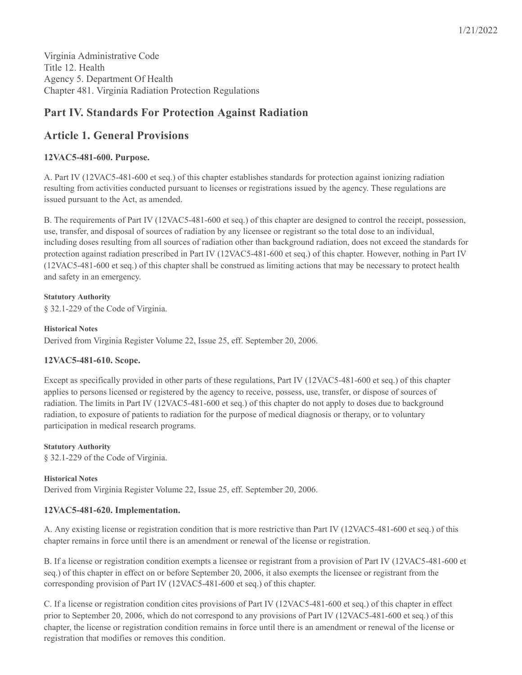Virginia Administrative Code Title 12. Health Agency 5. Department Of Health Chapter 481. Virginia Radiation Protection Regulations

# **Part IV. Standards For Protection Against Radiation**

# **Article 1. General Provisions**

## **12VAC5-481-600. Purpose.**

A. Part IV (12VAC5-481-600 et seq.) of this chapter establishes standards for protection against ionizing radiation resulting from activities conducted pursuant to licenses or registrations issued by the agency. These regulations are issued pursuant to the Act, as amended.

B. The requirements of Part IV (12VAC5-481-600 et seq.) of this chapter are designed to control the receipt, possession, use, transfer, and disposal of sources of radiation by any licensee or registrant so the total dose to an individual, including doses resulting from all sources of radiation other than background radiation, does not exceed the standards for protection against radiation prescribed in Part IV (12VAC5-481-600 et seq.) of this chapter. However, nothing in Part IV (12VAC5-481-600 et seq.) of this chapter shall be construed as limiting actions that may be necessary to protect health and safety in an emergency.

**Statutory Authority** § 32.1-229 of the Code of Virginia.

**Historical Notes** Derived from Virginia Register Volume 22, Issue 25, eff. September 20, 2006.

## **12VAC5-481-610. Scope.**

Except as specifically provided in other parts of these regulations, Part IV (12VAC5-481-600 et seq.) of this chapter applies to persons licensed or registered by the agency to receive, possess, use, transfer, or dispose of sources of radiation. The limits in Part IV (12VAC5-481-600 et seq.) of this chapter do not apply to doses due to background radiation, to exposure of patients to radiation for the purpose of medical diagnosis or therapy, or to voluntary participation in medical research programs.

**Statutory Authority** § 32.1-229 of the Code of Virginia.

## **Historical Notes** Derived from Virginia Register Volume 22, Issue 25, eff. September 20, 2006.

## **12VAC5-481-620. Implementation.**

A. Any existing license or registration condition that is more restrictive than Part IV (12VAC5-481-600 et seq.) of this chapter remains in force until there is an amendment or renewal of the license or registration.

B. If a license or registration condition exempts a licensee or registrant from a provision of Part IV (12VAC5-481-600 et seq.) of this chapter in effect on or before September 20, 2006, it also exempts the licensee or registrant from the corresponding provision of Part IV (12VAC5-481-600 et seq.) of this chapter.

C. If a license or registration condition cites provisions of Part IV (12VAC5-481-600 et seq.) of this chapter in effect prior to September 20, 2006, which do not correspond to any provisions of Part IV (12VAC5-481-600 et seq.) of this chapter, the license or registration condition remains in force until there is an amendment or renewal of the license or registration that modifies or removes this condition.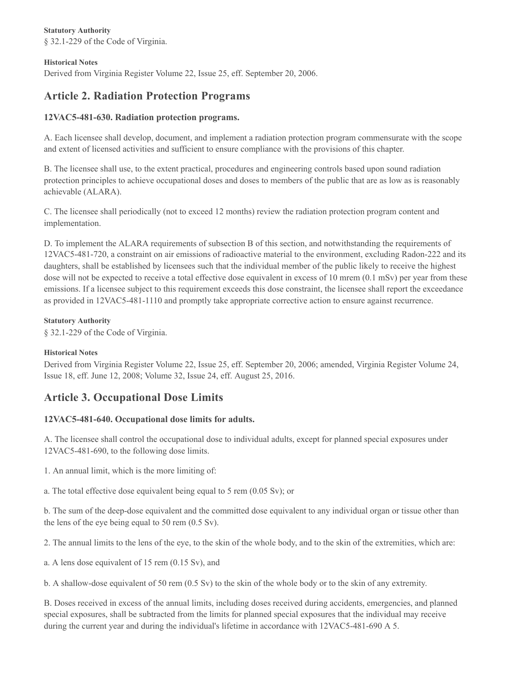**Statutory Authority** § 32.1-229 of the Code of Virginia.

#### **Historical Notes**

Derived from Virginia Register Volume 22, Issue 25, eff. September 20, 2006.

# **Article 2. Radiation Protection Programs**

## **12VAC5-481-630. Radiation protection programs.**

A. Each licensee shall develop, document, and implement a radiation protection program commensurate with the scope and extent of licensed activities and sufficient to ensure compliance with the provisions of this chapter.

B. The licensee shall use, to the extent practical, procedures and engineering controls based upon sound radiation protection principles to achieve occupational doses and doses to members of the public that are as low as is reasonably achievable (ALARA).

C. The licensee shall periodically (not to exceed 12 months) review the radiation protection program content and implementation.

D. To implement the ALARA requirements of subsection B of this section, and notwithstanding the requirements of 12VAC5-481-720, a constraint on air emissions of radioactive material to the environment, excluding Radon-222 and its daughters, shall be established by licensees such that the individual member of the public likely to receive the highest dose will not be expected to receive a total effective dose equivalent in excess of 10 mrem (0.1 mSv) per year from these emissions. If a licensee subject to this requirement exceeds this dose constraint, the licensee shall report the exceedance as provided in 12VAC5-481-1110 and promptly take appropriate corrective action to ensure against recurrence.

#### **Statutory Authority**

§ 32.1-229 of the Code of Virginia.

#### **Historical Notes**

Derived from Virginia Register Volume 22, Issue 25, eff. September 20, 2006; amended, Virginia Register Volume 24, Issue 18, eff. June 12, 2008; Volume 32, Issue 24, eff. August 25, 2016.

# **Article 3. Occupational Dose Limits**

## **12VAC5-481-640. Occupational dose limits for adults.**

A. The licensee shall control the occupational dose to individual adults, except for planned special exposures under 12VAC5-481-690, to the following dose limits.

1. An annual limit, which is the more limiting of:

a. The total effective dose equivalent being equal to 5 rem (0.05 Sv); or

b. The sum of the deep-dose equivalent and the committed dose equivalent to any individual organ or tissue other than the lens of the eye being equal to 50 rem (0.5 Sv).

2. The annual limits to the lens of the eye, to the skin of the whole body, and to the skin of the extremities, which are:

a. A lens dose equivalent of 15 rem (0.15 Sv), and

b. A shallow-dose equivalent of 50 rem (0.5 Sv) to the skin of the whole body or to the skin of any extremity.

B. Doses received in excess of the annual limits, including doses received during accidents, emergencies, and planned special exposures, shall be subtracted from the limits for planned special exposures that the individual may receive during the current year and during the individual's lifetime in accordance with 12VAC5-481-690 A 5.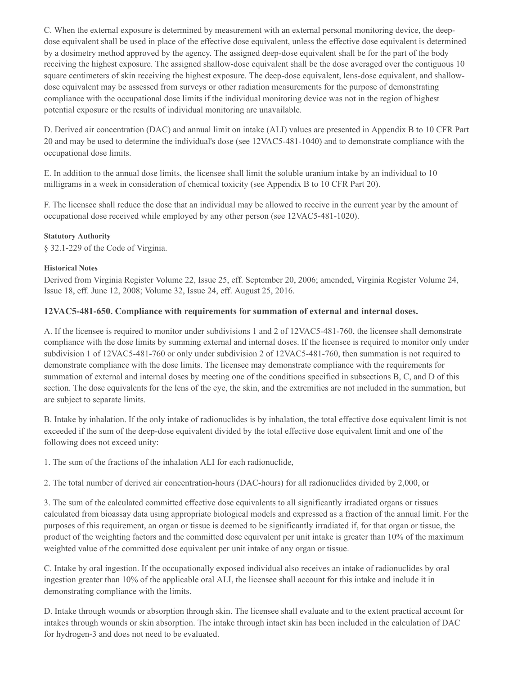C. When the external exposure is determined by measurement with an external personal monitoring device, the deepdose equivalent shall be used in place of the effective dose equivalent, unless the effective dose equivalent is determined by a dosimetry method approved by the agency. The assigned deep-dose equivalent shall be for the part of the body receiving the highest exposure. The assigned shallow-dose equivalent shall be the dose averaged over the contiguous 10 square centimeters of skin receiving the highest exposure. The deep-dose equivalent, lens-dose equivalent, and shallowdose equivalent may be assessed from surveys or other radiation measurements for the purpose of demonstrating compliance with the occupational dose limits if the individual monitoring device was not in the region of highest potential exposure or the results of individual monitoring are unavailable.

D. Derived air concentration (DAC) and annual limit on intake (ALI) values are presented in Appendix B to 10 CFR Part 20 and may be used to determine the individual's dose (see 12VAC5-481-1040) and to demonstrate compliance with the occupational dose limits.

E. In addition to the annual dose limits, the licensee shall limit the soluble uranium intake by an individual to 10 milligrams in a week in consideration of chemical toxicity (see Appendix B to 10 CFR Part 20).

F. The licensee shall reduce the dose that an individual may be allowed to receive in the current year by the amount of occupational dose received while employed by any other person (see 12VAC5-481-1020).

#### **Statutory Authority**

§ 32.1-229 of the Code of Virginia.

#### **Historical Notes**

Derived from Virginia Register Volume 22, Issue 25, eff. September 20, 2006; amended, Virginia Register Volume 24, Issue 18, eff. June 12, 2008; Volume 32, Issue 24, eff. August 25, 2016.

#### **12VAC5-481-650. Compliance with requirements for summation of external and internal doses.**

A. If the licensee is required to monitor under subdivisions 1 and 2 of 12VAC5-481-760, the licensee shall demonstrate compliance with the dose limits by summing external and internal doses. If the licensee is required to monitor only under subdivision 1 of 12VAC5-481-760 or only under subdivision 2 of 12VAC5-481-760, then summation is not required to demonstrate compliance with the dose limits. The licensee may demonstrate compliance with the requirements for summation of external and internal doses by meeting one of the conditions specified in subsections B, C, and D of this section. The dose equivalents for the lens of the eye, the skin, and the extremities are not included in the summation, but are subject to separate limits.

B. Intake by inhalation. If the only intake of radionuclides is by inhalation, the total effective dose equivalent limit is not exceeded if the sum of the deep-dose equivalent divided by the total effective dose equivalent limit and one of the following does not exceed unity:

1. The sum of the fractions of the inhalation ALI for each radionuclide,

2. The total number of derived air concentration-hours (DAC-hours) for all radionuclides divided by 2,000, or

3. The sum of the calculated committed effective dose equivalents to all significantly irradiated organs or tissues calculated from bioassay data using appropriate biological models and expressed as a fraction of the annual limit. For the purposes of this requirement, an organ or tissue is deemed to be significantly irradiated if, for that organ or tissue, the product of the weighting factors and the committed dose equivalent per unit intake is greater than 10% of the maximum weighted value of the committed dose equivalent per unit intake of any organ or tissue.

C. Intake by oral ingestion. If the occupationally exposed individual also receives an intake of radionuclides by oral ingestion greater than 10% of the applicable oral ALI, the licensee shall account for this intake and include it in demonstrating compliance with the limits.

D. Intake through wounds or absorption through skin. The licensee shall evaluate and to the extent practical account for intakes through wounds or skin absorption. The intake through intact skin has been included in the calculation of DAC for hydrogen-3 and does not need to be evaluated.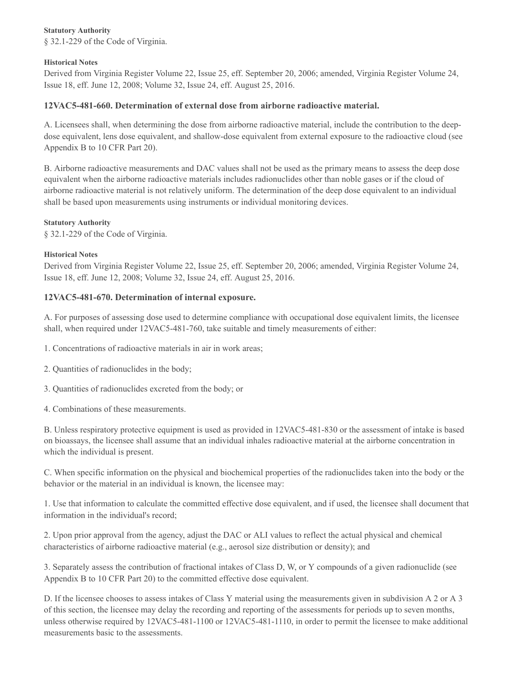### **Statutory Authority**

§ 32.1-229 of the Code of Virginia.

#### **Historical Notes**

Derived from Virginia Register Volume 22, Issue 25, eff. September 20, 2006; amended, Virginia Register Volume 24, Issue 18, eff. June 12, 2008; Volume 32, Issue 24, eff. August 25, 2016.

## **12VAC5-481-660. Determination of external dose from airborne radioactive material.**

A. Licensees shall, when determining the dose from airborne radioactive material, include the contribution to the deepdose equivalent, lens dose equivalent, and shallow-dose equivalent from external exposure to the radioactive cloud (see Appendix B to 10 CFR Part 20).

B. Airborne radioactive measurements and DAC values shall not be used as the primary means to assess the deep dose equivalent when the airborne radioactive materials includes radionuclides other than noble gases or if the cloud of airborne radioactive material is not relatively uniform. The determination of the deep dose equivalent to an individual shall be based upon measurements using instruments or individual monitoring devices.

#### **Statutory Authority**

§ 32.1-229 of the Code of Virginia.

#### **Historical Notes**

Derived from Virginia Register Volume 22, Issue 25, eff. September 20, 2006; amended, Virginia Register Volume 24, Issue 18, eff. June 12, 2008; Volume 32, Issue 24, eff. August 25, 2016.

## **12VAC5-481-670. Determination of internal exposure.**

A. For purposes of assessing dose used to determine compliance with occupational dose equivalent limits, the licensee shall, when required under 12VAC5-481-760, take suitable and timely measurements of either:

1. Concentrations of radioactive materials in air in work areas;

- 2. Quantities of radionuclides in the body;
- 3. Quantities of radionuclides excreted from the body; or
- 4. Combinations of these measurements.

B. Unless respiratory protective equipment is used as provided in 12VAC5-481-830 or the assessment of intake is based on bioassays, the licensee shall assume that an individual inhales radioactive material at the airborne concentration in which the individual is present.

C. When specific information on the physical and biochemical properties of the radionuclides taken into the body or the behavior or the material in an individual is known, the licensee may:

1. Use that information to calculate the committed effective dose equivalent, and if used, the licensee shall document that information in the individual's record;

2. Upon prior approval from the agency, adjust the DAC or ALI values to reflect the actual physical and chemical characteristics of airborne radioactive material (e.g., aerosol size distribution or density); and

3. Separately assess the contribution of fractional intakes of Class D, W, or Y compounds of a given radionuclide (see Appendix B to 10 CFR Part 20) to the committed effective dose equivalent.

D. If the licensee chooses to assess intakes of Class Y material using the measurements given in subdivision A 2 or A 3 of this section, the licensee may delay the recording and reporting of the assessments for periods up to seven months, unless otherwise required by 12VAC5-481-1100 or 12VAC5-481-1110, in order to permit the licensee to make additional measurements basic to the assessments.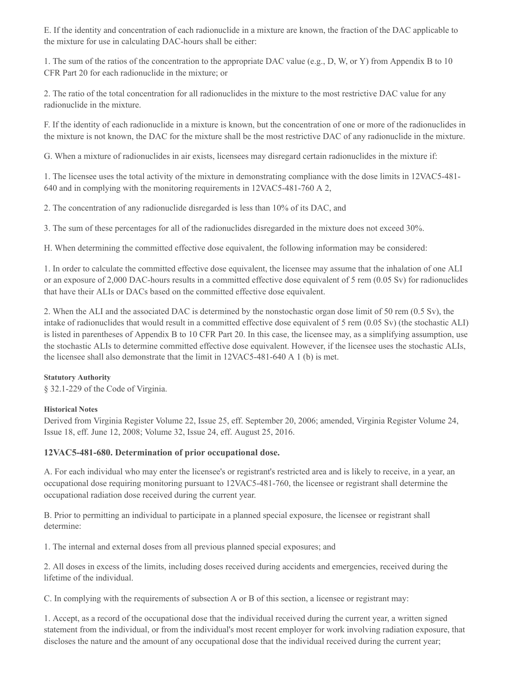E. If the identity and concentration of each radionuclide in a mixture are known, the fraction of the DAC applicable to the mixture for use in calculating DAC-hours shall be either:

1. The sum of the ratios of the concentration to the appropriate DAC value (e.g., D, W, or Y) from Appendix B to 10 CFR Part 20 for each radionuclide in the mixture; or

2. The ratio of the total concentration for all radionuclides in the mixture to the most restrictive DAC value for any radionuclide in the mixture.

F. If the identity of each radionuclide in a mixture is known, but the concentration of one or more of the radionuclides in the mixture is not known, the DAC for the mixture shall be the most restrictive DAC of any radionuclide in the mixture.

G. When a mixture of radionuclides in air exists, licensees may disregard certain radionuclides in the mixture if:

1. The licensee uses the total activity of the mixture in demonstrating compliance with the dose limits in 12VAC5-481- 640 and in complying with the monitoring requirements in 12VAC5-481-760 A 2,

2. The concentration of any radionuclide disregarded is less than 10% of its DAC, and

3. The sum of these percentages for all of the radionuclides disregarded in the mixture does not exceed 30%.

H. When determining the committed effective dose equivalent, the following information may be considered:

1. In order to calculate the committed effective dose equivalent, the licensee may assume that the inhalation of one ALI or an exposure of 2,000 DAC-hours results in a committed effective dose equivalent of 5 rem (0.05 Sv) for radionuclides that have their ALIs or DACs based on the committed effective dose equivalent.

2. When the ALI and the associated DAC is determined by the nonstochastic organ dose limit of 50 rem (0.5 Sv), the intake of radionuclides that would result in a committed effective dose equivalent of 5 rem (0.05 Sv) (the stochastic ALI) is listed in parentheses of Appendix B to 10 CFR Part 20. In this case, the licensee may, as a simplifying assumption, use the stochastic ALIs to determine committed effective dose equivalent. However, if the licensee uses the stochastic ALIs, the licensee shall also demonstrate that the limit in 12VAC5-481-640 A 1 (b) is met.

## **Statutory Authority**

§ 32.1-229 of the Code of Virginia.

## **Historical Notes**

Derived from Virginia Register Volume 22, Issue 25, eff. September 20, 2006; amended, Virginia Register Volume 24, Issue 18, eff. June 12, 2008; Volume 32, Issue 24, eff. August 25, 2016.

## **12VAC5-481-680. Determination of prior occupational dose.**

A. For each individual who may enter the licensee's or registrant's restricted area and is likely to receive, in a year, an occupational dose requiring monitoring pursuant to 12VAC5-481-760, the licensee or registrant shall determine the occupational radiation dose received during the current year.

B. Prior to permitting an individual to participate in a planned special exposure, the licensee or registrant shall determine:

1. The internal and external doses from all previous planned special exposures; and

2. All doses in excess of the limits, including doses received during accidents and emergencies, received during the lifetime of the individual.

C. In complying with the requirements of subsection A or B of this section, a licensee or registrant may:

1. Accept, as a record of the occupational dose that the individual received during the current year, a written signed statement from the individual, or from the individual's most recent employer for work involving radiation exposure, that discloses the nature and the amount of any occupational dose that the individual received during the current year;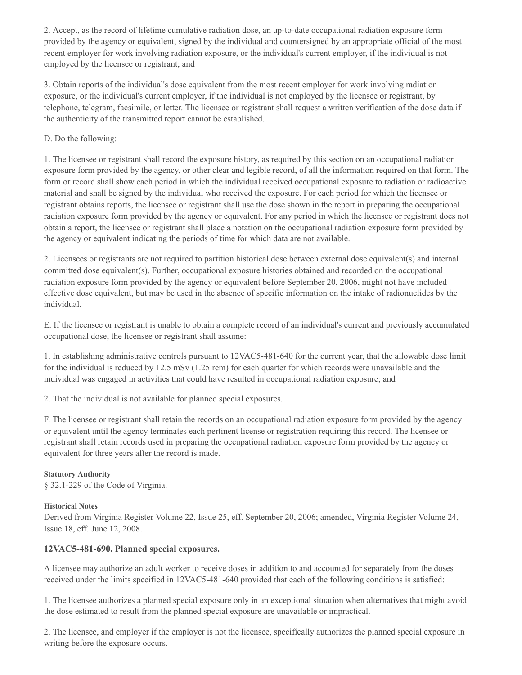2. Accept, as the record of lifetime cumulative radiation dose, an up-to-date occupational radiation exposure form provided by the agency or equivalent, signed by the individual and countersigned by an appropriate official of the most recent employer for work involving radiation exposure, or the individual's current employer, if the individual is not employed by the licensee or registrant; and

3. Obtain reports of the individual's dose equivalent from the most recent employer for work involving radiation exposure, or the individual's current employer, if the individual is not employed by the licensee or registrant, by telephone, telegram, facsimile, or letter. The licensee or registrant shall request a written verification of the dose data if the authenticity of the transmitted report cannot be established.

### D. Do the following:

1. The licensee or registrant shall record the exposure history, as required by this section on an occupational radiation exposure form provided by the agency, or other clear and legible record, of all the information required on that form. The form or record shall show each period in which the individual received occupational exposure to radiation or radioactive material and shall be signed by the individual who received the exposure. For each period for which the licensee or registrant obtains reports, the licensee or registrant shall use the dose shown in the report in preparing the occupational radiation exposure form provided by the agency or equivalent. For any period in which the licensee or registrant does not obtain a report, the licensee or registrant shall place a notation on the occupational radiation exposure form provided by the agency or equivalent indicating the periods of time for which data are not available.

2. Licensees or registrants are not required to partition historical dose between external dose equivalent(s) and internal committed dose equivalent(s). Further, occupational exposure histories obtained and recorded on the occupational radiation exposure form provided by the agency or equivalent before September 20, 2006, might not have included effective dose equivalent, but may be used in the absence of specific information on the intake of radionuclides by the individual.

E. If the licensee or registrant is unable to obtain a complete record of an individual's current and previously accumulated occupational dose, the licensee or registrant shall assume:

1. In establishing administrative controls pursuant to 12VAC5-481-640 for the current year, that the allowable dose limit for the individual is reduced by 12.5 mSv (1.25 rem) for each quarter for which records were unavailable and the individual was engaged in activities that could have resulted in occupational radiation exposure; and

2. That the individual is not available for planned special exposures.

F. The licensee or registrant shall retain the records on an occupational radiation exposure form provided by the agency or equivalent until the agency terminates each pertinent license or registration requiring this record. The licensee or registrant shall retain records used in preparing the occupational radiation exposure form provided by the agency or equivalent for three years after the record is made.

## **Statutory Authority**

§ 32.1-229 of the Code of Virginia.

## **Historical Notes**

Derived from Virginia Register Volume 22, Issue 25, eff. September 20, 2006; amended, Virginia Register Volume 24, Issue 18, eff. June 12, 2008.

## **12VAC5-481-690. Planned special exposures.**

A licensee may authorize an adult worker to receive doses in addition to and accounted for separately from the doses received under the limits specified in 12VAC5-481-640 provided that each of the following conditions is satisfied:

1. The licensee authorizes a planned special exposure only in an exceptional situation when alternatives that might avoid the dose estimated to result from the planned special exposure are unavailable or impractical.

2. The licensee, and employer if the employer is not the licensee, specifically authorizes the planned special exposure in writing before the exposure occurs.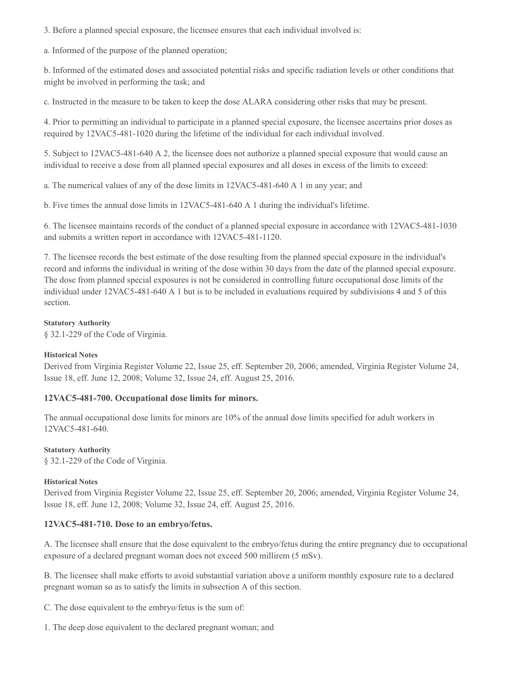3. Before a planned special exposure, the licensee ensures that each individual involved is:

a. Informed of the purpose of the planned operation;

b. Informed of the estimated doses and associated potential risks and specific radiation levels or other conditions that might be involved in performing the task; and

c. Instructed in the measure to be taken to keep the dose ALARA considering other risks that may be present.

4. Prior to permitting an individual to participate in a planned special exposure, the licensee ascertains prior doses as required by 12VAC5-481-1020 during the lifetime of the individual for each individual involved.

5. Subject to 12VAC5-481-640 A 2, the licensee does not authorize a planned special exposure that would cause an individual to receive a dose from all planned special exposures and all doses in excess of the limits to exceed:

a. The numerical values of any of the dose limits in 12VAC5-481-640 A 1 in any year; and

b. Five times the annual dose limits in 12VAC5-481-640 A 1 during the individual's lifetime.

6. The licensee maintains records of the conduct of a planned special exposure in accordance with 12VAC5-481-1030 and submits a written report in accordance with 12VAC5-481-1120.

7. The licensee records the best estimate of the dose resulting from the planned special exposure in the individual's record and informs the individual in writing of the dose within 30 days from the date of the planned special exposure. The dose from planned special exposures is not be considered in controlling future occupational dose limits of the individual under 12VAC5-481-640 A 1 but is to be included in evaluations required by subdivisions 4 and 5 of this section.

#### **Statutory Authority**

§ 32.1-229 of the Code of Virginia.

#### **Historical Notes**

Derived from Virginia Register Volume 22, Issue 25, eff. September 20, 2006; amended, Virginia Register Volume 24, Issue 18, eff. June 12, 2008; Volume 32, Issue 24, eff. August 25, 2016.

## **12VAC5-481-700. Occupational dose limits for minors.**

The annual occupational dose limits for minors are 10% of the annual dose limits specified for adult workers in 12VAC5-481-640.

#### **Statutory Authority**

§ 32.1-229 of the Code of Virginia.

#### **Historical Notes**

Derived from Virginia Register Volume 22, Issue 25, eff. September 20, 2006; amended, Virginia Register Volume 24, Issue 18, eff. June 12, 2008; Volume 32, Issue 24, eff. August 25, 2016.

## **12VAC5-481-710. Dose to an embryo/fetus.**

A. The licensee shall ensure that the dose equivalent to the embryo/fetus during the entire pregnancy due to occupational exposure of a declared pregnant woman does not exceed 500 millirem (5 mSv).

B. The licensee shall make efforts to avoid substantial variation above a uniform monthly exposure rate to a declared pregnant woman so as to satisfy the limits in subsection A of this section.

C. The dose equivalent to the embryo/fetus is the sum of:

1. The deep dose equivalent to the declared pregnant woman; and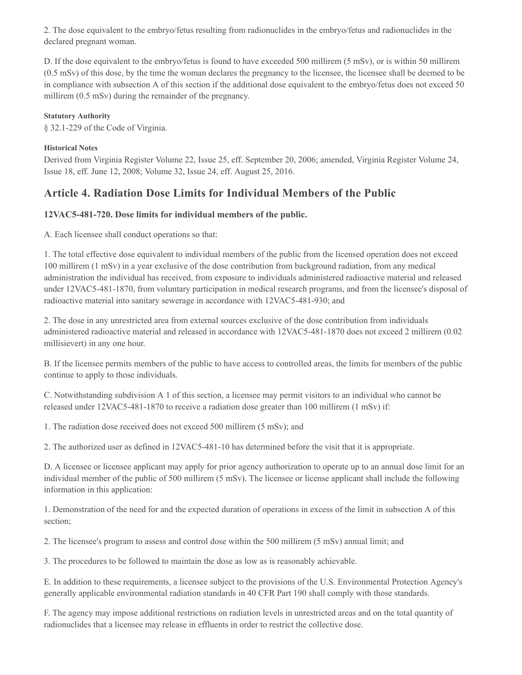2. The dose equivalent to the embryo/fetus resulting from radionuclides in the embryo/fetus and radionuclides in the declared pregnant woman.

D. If the dose equivalent to the embryo/fetus is found to have exceeded 500 millirem (5 mSv), or is within 50 millirem (0.5 mSv) of this dose, by the time the woman declares the pregnancy to the licensee, the licensee shall be deemed to be in compliance with subsection A of this section if the additional dose equivalent to the embryo/fetus does not exceed 50 millirem (0.5 mSv) during the remainder of the pregnancy.

### **Statutory Authority**

§ 32.1-229 of the Code of Virginia.

#### **Historical Notes**

Derived from Virginia Register Volume 22, Issue 25, eff. September 20, 2006; amended, Virginia Register Volume 24, Issue 18, eff. June 12, 2008; Volume 32, Issue 24, eff. August 25, 2016.

## **Article 4. Radiation Dose Limits for Individual Members of the Public**

## **12VAC5-481-720. Dose limits for individual members of the public.**

A. Each licensee shall conduct operations so that:

1. The total effective dose equivalent to individual members of the public from the licensed operation does not exceed 100 millirem (1 mSv) in a year exclusive of the dose contribution from background radiation, from any medical administration the individual has received, from exposure to individuals administered radioactive material and released under 12VAC5-481-1870, from voluntary participation in medical research programs, and from the licensee's disposal of radioactive material into sanitary sewerage in accordance with 12VAC5-481-930; and

2. The dose in any unrestricted area from external sources exclusive of the dose contribution from individuals administered radioactive material and released in accordance with 12VAC5-481-1870 does not exceed 2 millirem (0.02 millisievert) in any one hour.

B. If the licensee permits members of the public to have access to controlled areas, the limits for members of the public continue to apply to those individuals.

C. Notwithstanding subdivision A 1 of this section, a licensee may permit visitors to an individual who cannot be released under 12VAC5-481-1870 to receive a radiation dose greater than 100 millirem (1 mSv) if:

1. The radiation dose received does not exceed 500 millirem (5 mSv); and

2. The authorized user as defined in 12VAC5-481-10 has determined before the visit that it is appropriate.

D. A licensee or licensee applicant may apply for prior agency authorization to operate up to an annual dose limit for an individual member of the public of 500 millirem (5 mSv). The licensee or license applicant shall include the following information in this application:

1. Demonstration of the need for and the expected duration of operations in excess of the limit in subsection A of this section;

2. The licensee's program to assess and control dose within the 500 millirem (5 mSv) annual limit; and

3. The procedures to be followed to maintain the dose as low as is reasonably achievable.

E. In addition to these requirements, a licensee subject to the provisions of the U.S. Environmental Protection Agency's generally applicable environmental radiation standards in 40 CFR Part 190 shall comply with those standards.

F. The agency may impose additional restrictions on radiation levels in unrestricted areas and on the total quantity of radionuclides that a licensee may release in effluents in order to restrict the collective dose.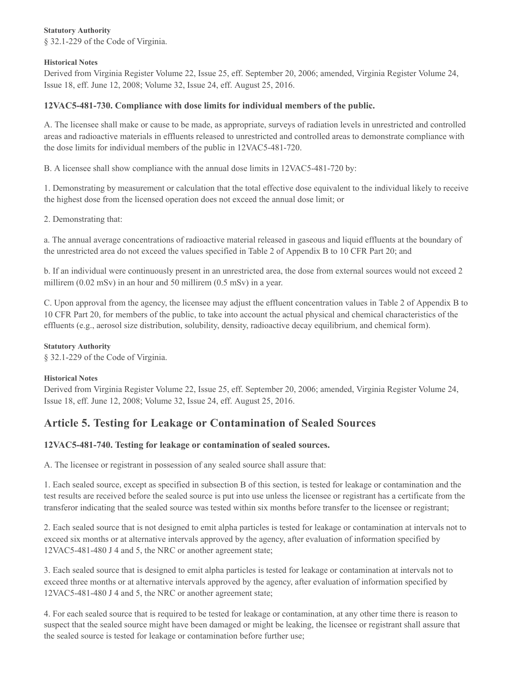#### **Statutory Authority**

§ 32.1-229 of the Code of Virginia.

#### **Historical Notes**

Derived from Virginia Register Volume 22, Issue 25, eff. September 20, 2006; amended, Virginia Register Volume 24, Issue 18, eff. June 12, 2008; Volume 32, Issue 24, eff. August 25, 2016.

## **12VAC5-481-730. Compliance with dose limits for individual members of the public.**

A. The licensee shall make or cause to be made, as appropriate, surveys of radiation levels in unrestricted and controlled areas and radioactive materials in effluents released to unrestricted and controlled areas to demonstrate compliance with the dose limits for individual members of the public in 12VAC5-481-720.

B. A licensee shall show compliance with the annual dose limits in 12VAC5-481-720 by:

1. Demonstrating by measurement or calculation that the total effective dose equivalent to the individual likely to receive the highest dose from the licensed operation does not exceed the annual dose limit; or

2. Demonstrating that:

a. The annual average concentrations of radioactive material released in gaseous and liquid effluents at the boundary of the unrestricted area do not exceed the values specified in Table 2 of Appendix B to 10 CFR Part 20; and

b. If an individual were continuously present in an unrestricted area, the dose from external sources would not exceed 2 millirem (0.02 mSv) in an hour and 50 millirem (0.5 mSv) in a year.

C. Upon approval from the agency, the licensee may adjust the effluent concentration values in Table 2 of Appendix B to 10 CFR Part 20, for members of the public, to take into account the actual physical and chemical characteristics of the effluents (e.g., aerosol size distribution, solubility, density, radioactive decay equilibrium, and chemical form).

#### **Statutory Authority**

§ 32.1-229 of the Code of Virginia.

## **Historical Notes**

Derived from Virginia Register Volume 22, Issue 25, eff. September 20, 2006; amended, Virginia Register Volume 24, Issue 18, eff. June 12, 2008; Volume 32, Issue 24, eff. August 25, 2016.

# **Article 5. Testing for Leakage or Contamination of Sealed Sources**

## **12VAC5-481-740. Testing for leakage or contamination of sealed sources.**

A. The licensee or registrant in possession of any sealed source shall assure that:

1. Each sealed source, except as specified in subsection B of this section, is tested for leakage or contamination and the test results are received before the sealed source is put into use unless the licensee or registrant has a certificate from the transferor indicating that the sealed source was tested within six months before transfer to the licensee or registrant;

2. Each sealed source that is not designed to emit alpha particles is tested for leakage or contamination at intervals not to exceed six months or at alternative intervals approved by the agency, after evaluation of information specified by 12VAC5-481-480 J 4 and 5, the NRC or another agreement state;

3. Each sealed source that is designed to emit alpha particles is tested for leakage or contamination at intervals not to exceed three months or at alternative intervals approved by the agency, after evaluation of information specified by 12VAC5-481-480 J 4 and 5, the NRC or another agreement state;

4. For each sealed source that is required to be tested for leakage or contamination, at any other time there is reason to suspect that the sealed source might have been damaged or might be leaking, the licensee or registrant shall assure that the sealed source is tested for leakage or contamination before further use;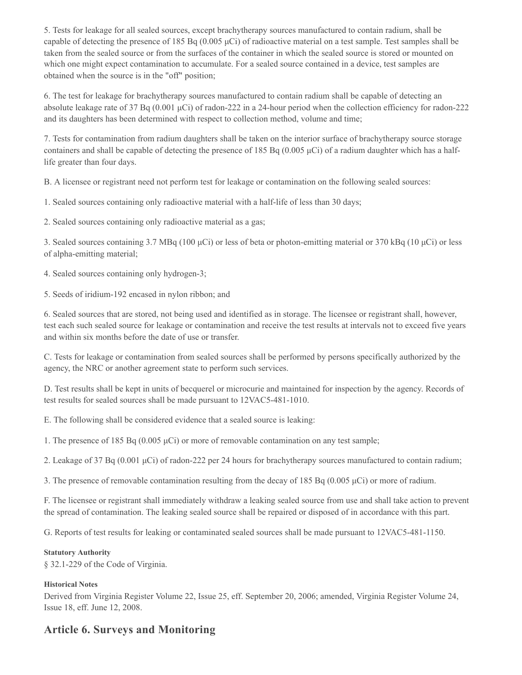5. Tests for leakage for all sealed sources, except brachytherapy sources manufactured to contain radium, shall be capable of detecting the presence of 185 Bq (0.005 μCi) of radioactive material on a test sample. Test samples shall be taken from the sealed source or from the surfaces of the container in which the sealed source is stored or mounted on which one might expect contamination to accumulate. For a sealed source contained in a device, test samples are obtained when the source is in the "off" position;

6. The test for leakage for brachytherapy sources manufactured to contain radium shall be capable of detecting an absolute leakage rate of 37 Bq (0.001 μCi) of radon-222 in a 24-hour period when the collection efficiency for radon-222 and its daughters has been determined with respect to collection method, volume and time;

7. Tests for contamination from radium daughters shall be taken on the interior surface of brachytherapy source storage containers and shall be capable of detecting the presence of 185 Bq (0.005  $\mu$ Ci) of a radium daughter which has a halflife greater than four days.

B. A licensee or registrant need not perform test for leakage or contamination on the following sealed sources:

1. Sealed sources containing only radioactive material with a half-life of less than 30 days;

2. Sealed sources containing only radioactive material as a gas;

3. Sealed sources containing 3.7 MBq (100 μCi) or less of beta or photon-emitting material or 370 kBq (10 μCi) or less of alpha-emitting material;

4. Sealed sources containing only hydrogen-3;

5. Seeds of iridium-192 encased in nylon ribbon; and

6. Sealed sources that are stored, not being used and identified as in storage. The licensee or registrant shall, however, test each such sealed source for leakage or contamination and receive the test results at intervals not to exceed five years and within six months before the date of use or transfer.

C. Tests for leakage or contamination from sealed sources shall be performed by persons specifically authorized by the agency, the NRC or another agreement state to perform such services.

D. Test results shall be kept in units of becquerel or microcurie and maintained for inspection by the agency. Records of test results for sealed sources shall be made pursuant to 12VAC5-481-1010.

E. The following shall be considered evidence that a sealed source is leaking:

1. The presence of 185 Bq (0.005  $\mu$ Ci) or more of removable contamination on any test sample;

2. Leakage of 37 Bq (0.001 μCi) of radon-222 per 24 hours for brachytherapy sources manufactured to contain radium;

3. The presence of removable contamination resulting from the decay of 185 Bq (0.005 μCi) or more of radium.

F. The licensee or registrant shall immediately withdraw a leaking sealed source from use and shall take action to prevent the spread of contamination. The leaking sealed source shall be repaired or disposed of in accordance with this part.

G. Reports of test results for leaking or contaminated sealed sources shall be made pursuant to 12VAC5-481-1150.

#### **Statutory Authority**

§ 32.1-229 of the Code of Virginia.

#### **Historical Notes**

Derived from Virginia Register Volume 22, Issue 25, eff. September 20, 2006; amended, Virginia Register Volume 24, Issue 18, eff. June 12, 2008.

# **Article 6. Surveys and Monitoring**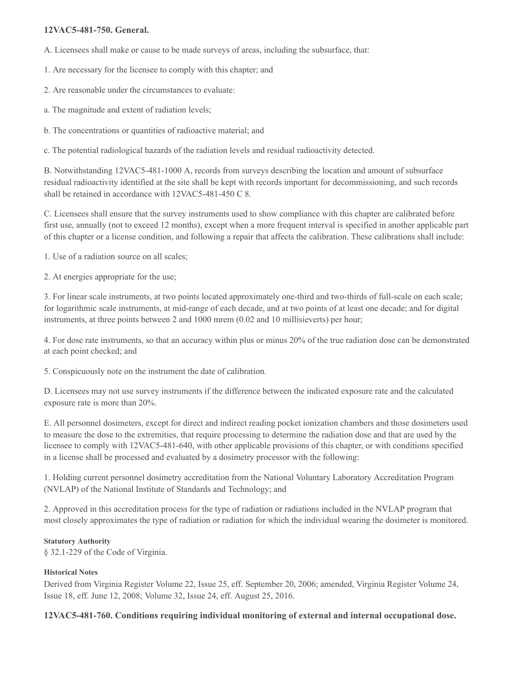## **12VAC5-481-750. General.**

A. Licensees shall make or cause to be made surveys of areas, including the subsurface, that:

1. Are necessary for the licensee to comply with this chapter; and

2. Are reasonable under the circumstances to evaluate:

a. The magnitude and extent of radiation levels;

b. The concentrations or quantities of radioactive material; and

c. The potential radiological hazards of the radiation levels and residual radioactivity detected.

B. Notwithstanding 12VAC5-481-1000 A, records from surveys describing the location and amount of subsurface residual radioactivity identified at the site shall be kept with records important for decommissioning, and such records shall be retained in accordance with 12VAC5-481-450 C 8.

C. Licensees shall ensure that the survey instruments used to show compliance with this chapter are calibrated before first use, annually (not to exceed 12 months), except when a more frequent interval is specified in another applicable part of this chapter or a license condition, and following a repair that affects the calibration. These calibrations shall include:

1. Use of a radiation source on all scales;

2. At energies appropriate for the use;

3. For linear scale instruments, at two points located approximately one-third and two-thirds of full-scale on each scale; for logarithmic scale instruments, at mid-range of each decade, and at two points of at least one decade; and for digital instruments, at three points between 2 and 1000 mrem (0.02 and 10 millisieverts) per hour;

4. For dose rate instruments, so that an accuracy within plus or minus 20% of the true radiation dose can be demonstrated at each point checked; and

5. Conspicuously note on the instrument the date of calibration.

D. Licensees may not use survey instruments if the difference between the indicated exposure rate and the calculated exposure rate is more than 20%.

E. All personnel dosimeters, except for direct and indirect reading pocket ionization chambers and those dosimeters used to measure the dose to the extremities, that require processing to determine the radiation dose and that are used by the licensee to comply with 12VAC5-481-640, with other applicable provisions of this chapter, or with conditions specified in a license shall be processed and evaluated by a dosimetry processor with the following:

1. Holding current personnel dosimetry accreditation from the National Voluntary Laboratory Accreditation Program (NVLAP) of the National Institute of Standards and Technology; and

2. Approved in this accreditation process for the type of radiation or radiations included in the NVLAP program that most closely approximates the type of radiation or radiation for which the individual wearing the dosimeter is monitored.

#### **Statutory Authority**

§ 32.1-229 of the Code of Virginia.

## **Historical Notes**

Derived from Virginia Register Volume 22, Issue 25, eff. September 20, 2006; amended, Virginia Register Volume 24, Issue 18, eff. June 12, 2008; Volume 32, Issue 24, eff. August 25, 2016.

## **12VAC5-481-760. Conditions requiring individual monitoring of external and internal occupational dose.**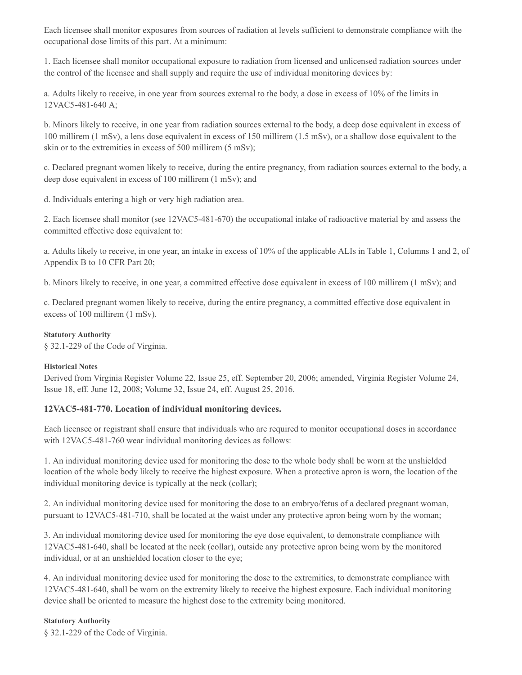Each licensee shall monitor exposures from sources of radiation at levels sufficient to demonstrate compliance with the occupational dose limits of this part. At a minimum:

1. Each licensee shall monitor occupational exposure to radiation from licensed and unlicensed radiation sources under the control of the licensee and shall supply and require the use of individual monitoring devices by:

a. Adults likely to receive, in one year from sources external to the body, a dose in excess of 10% of the limits in 12VAC5-481-640 A;

b. Minors likely to receive, in one year from radiation sources external to the body, a deep dose equivalent in excess of 100 millirem (1 mSv), a lens dose equivalent in excess of 150 millirem (1.5 mSv), or a shallow dose equivalent to the skin or to the extremities in excess of 500 millirem (5 mSv);

c. Declared pregnant women likely to receive, during the entire pregnancy, from radiation sources external to the body, a deep dose equivalent in excess of 100 millirem (1 mSv); and

d. Individuals entering a high or very high radiation area.

2. Each licensee shall monitor (see 12VAC5-481-670) the occupational intake of radioactive material by and assess the committed effective dose equivalent to:

a. Adults likely to receive, in one year, an intake in excess of 10% of the applicable ALIs in Table 1, Columns 1 and 2, of Appendix B to 10 CFR Part 20;

b. Minors likely to receive, in one year, a committed effective dose equivalent in excess of 100 millirem (1 mSv); and

c. Declared pregnant women likely to receive, during the entire pregnancy, a committed effective dose equivalent in excess of 100 millirem (1 mSv).

#### **Statutory Authority**

§ 32.1-229 of the Code of Virginia.

#### **Historical Notes**

Derived from Virginia Register Volume 22, Issue 25, eff. September 20, 2006; amended, Virginia Register Volume 24, Issue 18, eff. June 12, 2008; Volume 32, Issue 24, eff. August 25, 2016.

## **12VAC5-481-770. Location of individual monitoring devices.**

Each licensee or registrant shall ensure that individuals who are required to monitor occupational doses in accordance with 12VAC5-481-760 wear individual monitoring devices as follows:

1. An individual monitoring device used for monitoring the dose to the whole body shall be worn at the unshielded location of the whole body likely to receive the highest exposure. When a protective apron is worn, the location of the individual monitoring device is typically at the neck (collar);

2. An individual monitoring device used for monitoring the dose to an embryo/fetus of a declared pregnant woman, pursuant to 12VAC5-481-710, shall be located at the waist under any protective apron being worn by the woman;

3. An individual monitoring device used for monitoring the eye dose equivalent, to demonstrate compliance with 12VAC5-481-640, shall be located at the neck (collar), outside any protective apron being worn by the monitored individual, or at an unshielded location closer to the eye;

4. An individual monitoring device used for monitoring the dose to the extremities, to demonstrate compliance with 12VAC5-481-640, shall be worn on the extremity likely to receive the highest exposure. Each individual monitoring device shall be oriented to measure the highest dose to the extremity being monitored.

#### **Statutory Authority**

§ 32.1-229 of the Code of Virginia.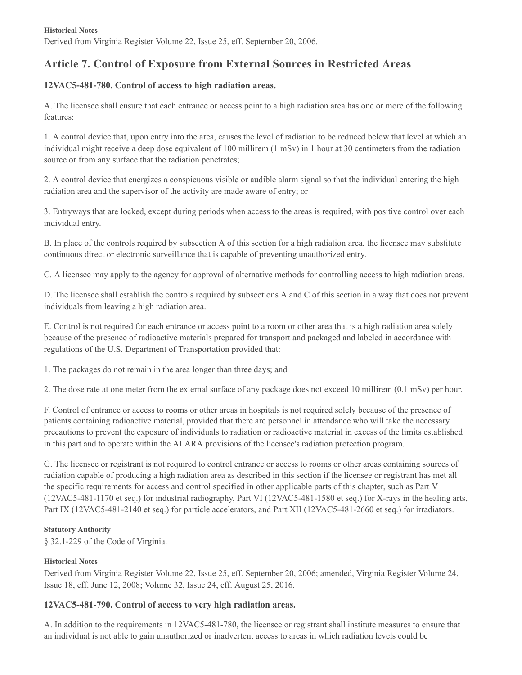# **Article 7. Control of Exposure from External Sources in Restricted Areas**

## **12VAC5-481-780. Control of access to high radiation areas.**

A. The licensee shall ensure that each entrance or access point to a high radiation area has one or more of the following features:

1. A control device that, upon entry into the area, causes the level of radiation to be reduced below that level at which an individual might receive a deep dose equivalent of 100 millirem (1 mSv) in 1 hour at 30 centimeters from the radiation source or from any surface that the radiation penetrates;

2. A control device that energizes a conspicuous visible or audible alarm signal so that the individual entering the high radiation area and the supervisor of the activity are made aware of entry; or

3. Entryways that are locked, except during periods when access to the areas is required, with positive control over each individual entry.

B. In place of the controls required by subsection A of this section for a high radiation area, the licensee may substitute continuous direct or electronic surveillance that is capable of preventing unauthorized entry.

C. A licensee may apply to the agency for approval of alternative methods for controlling access to high radiation areas.

D. The licensee shall establish the controls required by subsections A and C of this section in a way that does not prevent individuals from leaving a high radiation area.

E. Control is not required for each entrance or access point to a room or other area that is a high radiation area solely because of the presence of radioactive materials prepared for transport and packaged and labeled in accordance with regulations of the U.S. Department of Transportation provided that:

1. The packages do not remain in the area longer than three days; and

2. The dose rate at one meter from the external surface of any package does not exceed 10 millirem (0.1 mSv) per hour.

F. Control of entrance or access to rooms or other areas in hospitals is not required solely because of the presence of patients containing radioactive material, provided that there are personnel in attendance who will take the necessary precautions to prevent the exposure of individuals to radiation or radioactive material in excess of the limits established in this part and to operate within the ALARA provisions of the licensee's radiation protection program.

G. The licensee or registrant is not required to control entrance or access to rooms or other areas containing sources of radiation capable of producing a high radiation area as described in this section if the licensee or registrant has met all the specific requirements for access and control specified in other applicable parts of this chapter, such as Part V (12VAC5-481-1170 et seq.) for industrial radiography, Part VI (12VAC5-481-1580 et seq.) for X-rays in the healing arts, Part IX (12VAC5-481-2140 et seq.) for particle accelerators, and Part XII (12VAC5-481-2660 et seq.) for irradiators.

## **Statutory Authority**

§ 32.1-229 of the Code of Virginia.

## **Historical Notes**

Derived from Virginia Register Volume 22, Issue 25, eff. September 20, 2006; amended, Virginia Register Volume 24, Issue 18, eff. June 12, 2008; Volume 32, Issue 24, eff. August 25, 2016.

## **12VAC5-481-790. Control of access to very high radiation areas.**

A. In addition to the requirements in 12VAC5-481-780, the licensee or registrant shall institute measures to ensure that an individual is not able to gain unauthorized or inadvertent access to areas in which radiation levels could be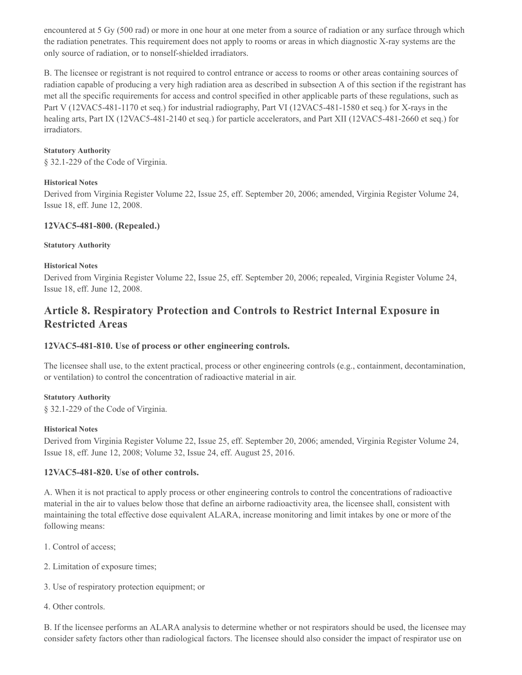encountered at 5 Gy (500 rad) or more in one hour at one meter from a source of radiation or any surface through which the radiation penetrates. This requirement does not apply to rooms or areas in which diagnostic X-ray systems are the only source of radiation, or to nonself-shielded irradiators.

B. The licensee or registrant is not required to control entrance or access to rooms or other areas containing sources of radiation capable of producing a very high radiation area as described in subsection A of this section if the registrant has met all the specific requirements for access and control specified in other applicable parts of these regulations, such as Part V (12VAC5-481-1170 et seq.) for industrial radiography, Part VI (12VAC5-481-1580 et seq.) for X-rays in the healing arts, Part IX (12VAC5-481-2140 et seq.) for particle accelerators, and Part XII (12VAC5-481-2660 et seq.) for irradiators.

#### **Statutory Authority**

§ 32.1-229 of the Code of Virginia.

#### **Historical Notes**

Derived from Virginia Register Volume 22, Issue 25, eff. September 20, 2006; amended, Virginia Register Volume 24, Issue 18, eff. June 12, 2008.

## **12VAC5-481-800. (Repealed.)**

#### **Statutory Authority**

#### **Historical Notes**

Derived from Virginia Register Volume 22, Issue 25, eff. September 20, 2006; repealed, Virginia Register Volume 24, Issue 18, eff. June 12, 2008.

# **Article 8. Respiratory Protection and Controls to Restrict Internal Exposure in Restricted Areas**

## **12VAC5-481-810. Use of process or other engineering controls.**

The licensee shall use, to the extent practical, process or other engineering controls (e.g., containment, decontamination, or ventilation) to control the concentration of radioactive material in air.

#### **Statutory Authority**

§ 32.1-229 of the Code of Virginia.

#### **Historical Notes**

Derived from Virginia Register Volume 22, Issue 25, eff. September 20, 2006; amended, Virginia Register Volume 24, Issue 18, eff. June 12, 2008; Volume 32, Issue 24, eff. August 25, 2016.

## **12VAC5-481-820. Use of other controls.**

A. When it is not practical to apply process or other engineering controls to control the concentrations of radioactive material in the air to values below those that define an airborne radioactivity area, the licensee shall, consistent with maintaining the total effective dose equivalent ALARA, increase monitoring and limit intakes by one or more of the following means:

- 1. Control of access;
- 2. Limitation of exposure times;
- 3. Use of respiratory protection equipment; or
- 4. Other controls.

B. If the licensee performs an ALARA analysis to determine whether or not respirators should be used, the licensee may consider safety factors other than radiological factors. The licensee should also consider the impact of respirator use on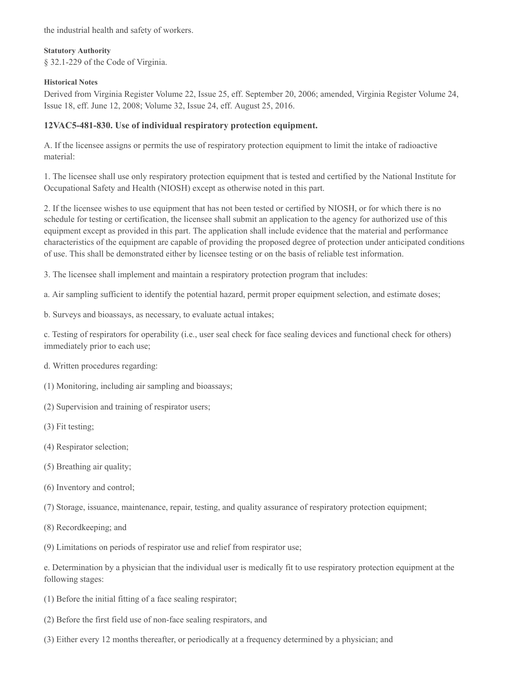the industrial health and safety of workers.

#### **Statutory Authority**

§ 32.1-229 of the Code of Virginia.

## **Historical Notes**

Derived from Virginia Register Volume 22, Issue 25, eff. September 20, 2006; amended, Virginia Register Volume 24, Issue 18, eff. June 12, 2008; Volume 32, Issue 24, eff. August 25, 2016.

## **12VAC5-481-830. Use of individual respiratory protection equipment.**

A. If the licensee assigns or permits the use of respiratory protection equipment to limit the intake of radioactive material:

1. The licensee shall use only respiratory protection equipment that is tested and certified by the National Institute for Occupational Safety and Health (NIOSH) except as otherwise noted in this part.

2. If the licensee wishes to use equipment that has not been tested or certified by NIOSH, or for which there is no schedule for testing or certification, the licensee shall submit an application to the agency for authorized use of this equipment except as provided in this part. The application shall include evidence that the material and performance characteristics of the equipment are capable of providing the proposed degree of protection under anticipated conditions of use. This shall be demonstrated either by licensee testing or on the basis of reliable test information.

3. The licensee shall implement and maintain a respiratory protection program that includes:

a. Air sampling sufficient to identify the potential hazard, permit proper equipment selection, and estimate doses;

b. Surveys and bioassays, as necessary, to evaluate actual intakes;

c. Testing of respirators for operability (i.e., user seal check for face sealing devices and functional check for others) immediately prior to each use;

- d. Written procedures regarding:
- (1) Monitoring, including air sampling and bioassays;
- (2) Supervision and training of respirator users;
- (3) Fit testing;
- (4) Respirator selection;
- (5) Breathing air quality;
- (6) Inventory and control;
- (7) Storage, issuance, maintenance, repair, testing, and quality assurance of respiratory protection equipment;
- (8) Recordkeeping; and

(9) Limitations on periods of respirator use and relief from respirator use;

e. Determination by a physician that the individual user is medically fit to use respiratory protection equipment at the following stages:

- (1) Before the initial fitting of a face sealing respirator;
- (2) Before the first field use of non-face sealing respirators, and
- (3) Either every 12 months thereafter, or periodically at a frequency determined by a physician; and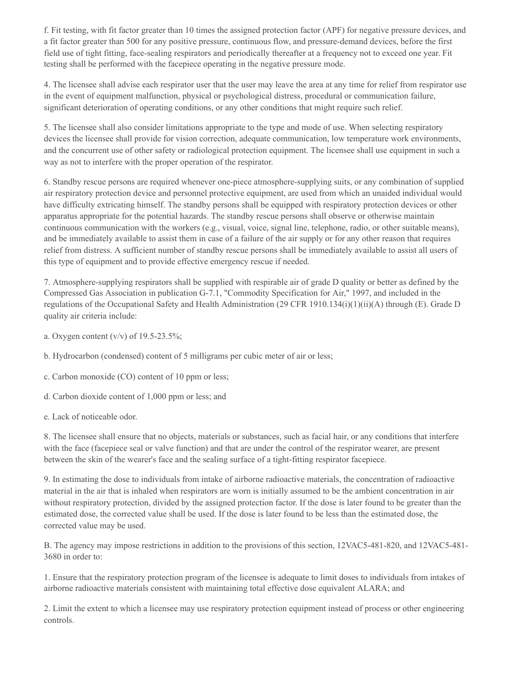f. Fit testing, with fit factor greater than 10 times the assigned protection factor (APF) for negative pressure devices, and a fit factor greater than 500 for any positive pressure, continuous flow, and pressure-demand devices, before the first field use of tight fitting, face-sealing respirators and periodically thereafter at a frequency not to exceed one year. Fit testing shall be performed with the facepiece operating in the negative pressure mode.

4. The licensee shall advise each respirator user that the user may leave the area at any time for relief from respirator use in the event of equipment malfunction, physical or psychological distress, procedural or communication failure, significant deterioration of operating conditions, or any other conditions that might require such relief.

5. The licensee shall also consider limitations appropriate to the type and mode of use. When selecting respiratory devices the licensee shall provide for vision correction, adequate communication, low temperature work environments, and the concurrent use of other safety or radiological protection equipment. The licensee shall use equipment in such a way as not to interfere with the proper operation of the respirator.

6. Standby rescue persons are required whenever one-piece atmosphere-supplying suits, or any combination of supplied air respiratory protection device and personnel protective equipment, are used from which an unaided individual would have difficulty extricating himself. The standby persons shall be equipped with respiratory protection devices or other apparatus appropriate for the potential hazards. The standby rescue persons shall observe or otherwise maintain continuous communication with the workers (e.g., visual, voice, signal line, telephone, radio, or other suitable means), and be immediately available to assist them in case of a failure of the air supply or for any other reason that requires relief from distress. A sufficient number of standby rescue persons shall be immediately available to assist all users of this type of equipment and to provide effective emergency rescue if needed.

7. Atmosphere-supplying respirators shall be supplied with respirable air of grade D quality or better as defined by the Compressed Gas Association in publication G-7.1, "Commodity Specification for Air," 1997, and included in the regulations of the Occupational Safety and Health Administration (29 CFR 1910.134(i)(1)(ii)(A) through (E). Grade D quality air criteria include:

- a. Oxygen content  $(v/v)$  of 19.5-23.5%;
- b. Hydrocarbon (condensed) content of 5 milligrams per cubic meter of air or less;
- c. Carbon monoxide (CO) content of 10 ppm or less;
- d. Carbon dioxide content of 1,000 ppm or less; and
- e. Lack of noticeable odor.

8. The licensee shall ensure that no objects, materials or substances, such as facial hair, or any conditions that interfere with the face (facepiece seal or valve function) and that are under the control of the respirator wearer, are present between the skin of the wearer's face and the sealing surface of a tight-fitting respirator facepiece.

9. In estimating the dose to individuals from intake of airborne radioactive materials, the concentration of radioactive material in the air that is inhaled when respirators are worn is initially assumed to be the ambient concentration in air without respiratory protection, divided by the assigned protection factor. If the dose is later found to be greater than the estimated dose, the corrected value shall be used. If the dose is later found to be less than the estimated dose, the corrected value may be used.

B. The agency may impose restrictions in addition to the provisions of this section, 12VAC5-481-820, and 12VAC5-481- 3680 in order to:

1. Ensure that the respiratory protection program of the licensee is adequate to limit doses to individuals from intakes of airborne radioactive materials consistent with maintaining total effective dose equivalent ALARA; and

2. Limit the extent to which a licensee may use respiratory protection equipment instead of process or other engineering controls.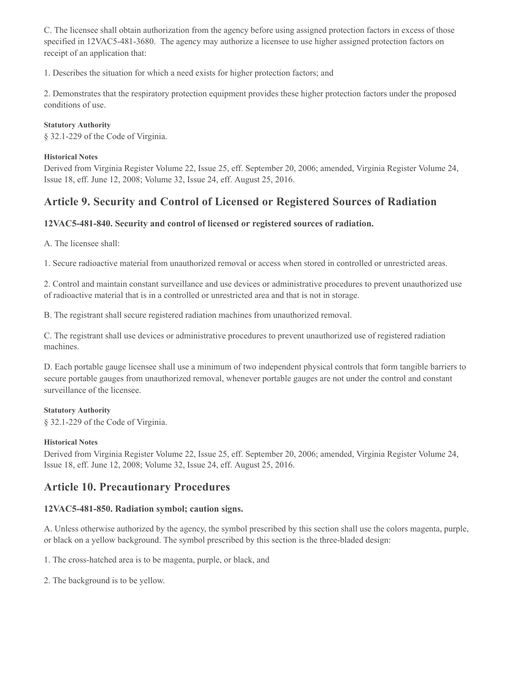C. The licensee shall obtain authorization from the agency before using assigned protection factors in excess of those specified in 12VAC5-481-3680. The agency may authorize a licensee to use higher assigned protection factors on receipt of an application that:

1. Describes the situation for which a need exists for higher protection factors; and

2. Demonstrates that the respiratory protection equipment provides these higher protection factors under the proposed conditions of use.

## **Statutory Authority**

§ 32.1-229 of the Code of Virginia.

## **Historical Notes**

Derived from Virginia Register Volume 22, Issue 25, eff. September 20, 2006; amended, Virginia Register Volume 24, Issue 18, eff. June 12, 2008; Volume 32, Issue 24, eff. August 25, 2016.

# **Article 9. Security and Control of Licensed or Registered Sources of Radiation**

## **12VAC5-481-840. Security and control of licensed or registered sources of radiation.**

A. The licensee shall:

1. Secure radioactive material from unauthorized removal or access when stored in controlled or unrestricted areas.

2. Control and maintain constant surveillance and use devices or administrative procedures to prevent unauthorized use of radioactive material that is in a controlled or unrestricted area and that is not in storage.

B. The registrant shall secure registered radiation machines from unauthorized removal.

C. The registrant shall use devices or administrative procedures to prevent unauthorized use of registered radiation machines.

D. Each portable gauge licensee shall use a minimum of two independent physical controls that form tangible barriers to secure portable gauges from unauthorized removal, whenever portable gauges are not under the control and constant surveillance of the licensee.

## **Statutory Authority**

§ 32.1-229 of the Code of Virginia.

## **Historical Notes**

Derived from Virginia Register Volume 22, Issue 25, eff. September 20, 2006; amended, Virginia Register Volume 24, Issue 18, eff. June 12, 2008; Volume 32, Issue 24, eff. August 25, 2016.

# **Article 10. Precautionary Procedures**

# **12VAC5-481-850. Radiation symbol; caution signs.**

A. Unless otherwise authorized by the agency, the symbol prescribed by this section shall use the colors magenta, purple, or black on a yellow background. The symbol prescribed by this section is the three-bladed design:

1. The cross-hatched area is to be magenta, purple, or black, and

2. The background is to be yellow.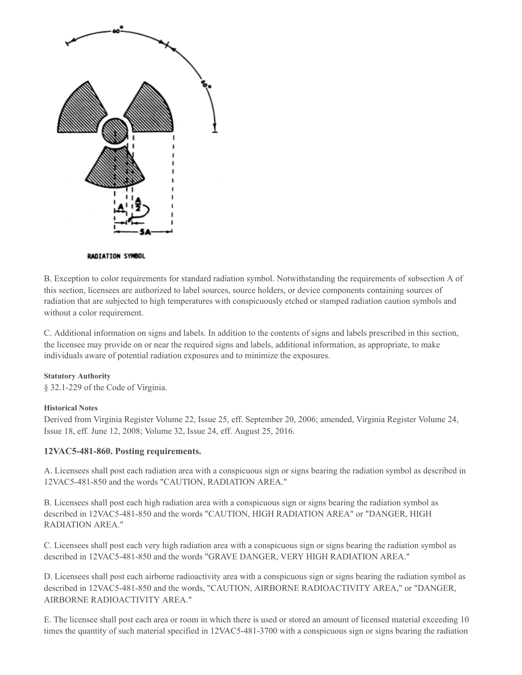

#### RADIATION SYMBOL

B. Exception to color requirements for standard radiation symbol. Notwithstanding the requirements of subsection A of this section, licensees are authorized to label sources, source holders, or device components containing sources of radiation that are subjected to high temperatures with conspicuously etched or stamped radiation caution symbols and without a color requirement.

C. Additional information on signs and labels. In addition to the contents of signs and labels prescribed in this section, the licensee may provide on or near the required signs and labels, additional information, as appropriate, to make individuals aware of potential radiation exposures and to minimize the exposures.

#### **Statutory Authority**

§ 32.1-229 of the Code of Virginia.

#### **Historical Notes**

Derived from Virginia Register Volume 22, Issue 25, eff. September 20, 2006; amended, Virginia Register Volume 24, Issue 18, eff. June 12, 2008; Volume 32, Issue 24, eff. August 25, 2016.

#### **12VAC5-481-860. Posting requirements.**

A. Licensees shall post each radiation area with a conspicuous sign or signs bearing the radiation symbol as described in 12VAC5-481-850 and the words "CAUTION, RADIATION AREA."

B. Licensees shall post each high radiation area with a conspicuous sign or signs bearing the radiation symbol as described in 12VAC5-481-850 and the words "CAUTION, HIGH RADIATION AREA" or "DANGER, HIGH RADIATION AREA."

C. Licensees shall post each very high radiation area with a conspicuous sign or signs bearing the radiation symbol as described in 12VAC5-481-850 and the words "GRAVE DANGER, VERY HIGH RADIATION AREA."

D. Licensees shall post each airborne radioactivity area with a conspicuous sign or signs bearing the radiation symbol as described in 12VAC5-481-850 and the words, "CAUTION, AIRBORNE RADIOACTIVITY AREA," or "DANGER, AIRBORNE RADIOACTIVITY AREA."

E. The licensee shall post each area or room in which there is used or stored an amount of licensed material exceeding 10 times the quantity of such material specified in 12VAC5-481-3700 with a conspicuous sign or signs bearing the radiation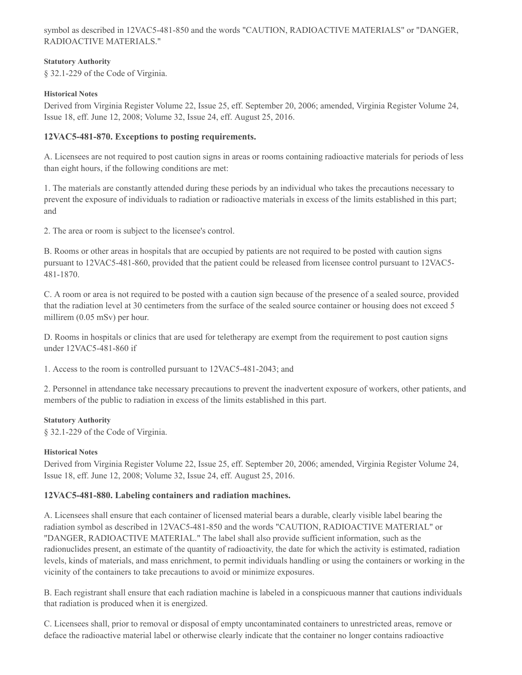symbol as described in 12VAC5-481-850 and the words "CAUTION, RADIOACTIVE MATERIALS" or "DANGER, RADIOACTIVE MATERIALS."

#### **Statutory Authority**

§ 32.1-229 of the Code of Virginia.

#### **Historical Notes**

Derived from Virginia Register Volume 22, Issue 25, eff. September 20, 2006; amended, Virginia Register Volume 24, Issue 18, eff. June 12, 2008; Volume 32, Issue 24, eff. August 25, 2016.

## **12VAC5-481-870. Exceptions to posting requirements.**

A. Licensees are not required to post caution signs in areas or rooms containing radioactive materials for periods of less than eight hours, if the following conditions are met:

1. The materials are constantly attended during these periods by an individual who takes the precautions necessary to prevent the exposure of individuals to radiation or radioactive materials in excess of the limits established in this part; and

2. The area or room is subject to the licensee's control.

B. Rooms or other areas in hospitals that are occupied by patients are not required to be posted with caution signs pursuant to 12VAC5-481-860, provided that the patient could be released from licensee control pursuant to 12VAC5- 481-1870.

C. A room or area is not required to be posted with a caution sign because of the presence of a sealed source, provided that the radiation level at 30 centimeters from the surface of the sealed source container or housing does not exceed 5 millirem (0.05 mSv) per hour.

D. Rooms in hospitals or clinics that are used for teletherapy are exempt from the requirement to post caution signs under 12VAC5-481-860 if

1. Access to the room is controlled pursuant to 12VAC5-481-2043; and

2. Personnel in attendance take necessary precautions to prevent the inadvertent exposure of workers, other patients, and members of the public to radiation in excess of the limits established in this part.

#### **Statutory Authority**

§ 32.1-229 of the Code of Virginia.

#### **Historical Notes**

Derived from Virginia Register Volume 22, Issue 25, eff. September 20, 2006; amended, Virginia Register Volume 24, Issue 18, eff. June 12, 2008; Volume 32, Issue 24, eff. August 25, 2016.

#### **12VAC5-481-880. Labeling containers and radiation machines.**

A. Licensees shall ensure that each container of licensed material bears a durable, clearly visible label bearing the radiation symbol as described in 12VAC5-481-850 and the words "CAUTION, RADIOACTIVE MATERIAL" or "DANGER, RADIOACTIVE MATERIAL." The label shall also provide sufficient information, such as the radionuclides present, an estimate of the quantity of radioactivity, the date for which the activity is estimated, radiation levels, kinds of materials, and mass enrichment, to permit individuals handling or using the containers or working in the vicinity of the containers to take precautions to avoid or minimize exposures.

B. Each registrant shall ensure that each radiation machine is labeled in a conspicuous manner that cautions individuals that radiation is produced when it is energized.

C. Licensees shall, prior to removal or disposal of empty uncontaminated containers to unrestricted areas, remove or deface the radioactive material label or otherwise clearly indicate that the container no longer contains radioactive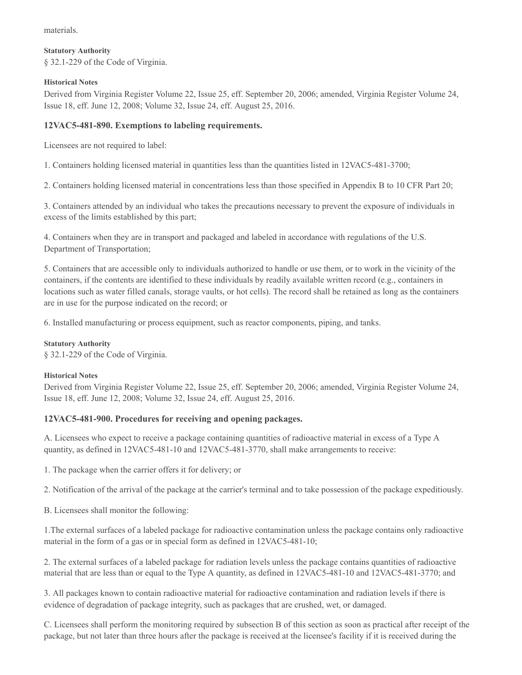materials.

#### **Statutory Authority** § 32.1-229 of the Code of Virginia.

## **Historical Notes**

Derived from Virginia Register Volume 22, Issue 25, eff. September 20, 2006; amended, Virginia Register Volume 24, Issue 18, eff. June 12, 2008; Volume 32, Issue 24, eff. August 25, 2016.

## **12VAC5-481-890. Exemptions to labeling requirements.**

Licensees are not required to label:

1. Containers holding licensed material in quantities less than the quantities listed in 12VAC5-481-3700;

2. Containers holding licensed material in concentrations less than those specified in Appendix B to 10 CFR Part 20;

3. Containers attended by an individual who takes the precautions necessary to prevent the exposure of individuals in excess of the limits established by this part;

4. Containers when they are in transport and packaged and labeled in accordance with regulations of the U.S. Department of Transportation;

5. Containers that are accessible only to individuals authorized to handle or use them, or to work in the vicinity of the containers, if the contents are identified to these individuals by readily available written record (e.g., containers in locations such as water filled canals, storage vaults, or hot cells). The record shall be retained as long as the containers are in use for the purpose indicated on the record; or

6. Installed manufacturing or process equipment, such as reactor components, piping, and tanks.

## **Statutory Authority**

§ 32.1-229 of the Code of Virginia.

## **Historical Notes**

Derived from Virginia Register Volume 22, Issue 25, eff. September 20, 2006; amended, Virginia Register Volume 24, Issue 18, eff. June 12, 2008; Volume 32, Issue 24, eff. August 25, 2016.

## **12VAC5-481-900. Procedures for receiving and opening packages.**

A. Licensees who expect to receive a package containing quantities of radioactive material in excess of a Type A quantity, as defined in 12VAC5-481-10 and 12VAC5-481-3770, shall make arrangements to receive:

1. The package when the carrier offers it for delivery; or

2. Notification of the arrival of the package at the carrier's terminal and to take possession of the package expeditiously.

B. Licensees shall monitor the following:

1.The external surfaces of a labeled package for radioactive contamination unless the package contains only radioactive material in the form of a gas or in special form as defined in 12VAC5-481-10;

2. The external surfaces of a labeled package for radiation levels unless the package contains quantities of radioactive material that are less than or equal to the Type A quantity, as defined in 12VAC5-481-10 and 12VAC5-481-3770; and

3. All packages known to contain radioactive material for radioactive contamination and radiation levels if there is evidence of degradation of package integrity, such as packages that are crushed, wet, or damaged.

C. Licensees shall perform the monitoring required by subsection B of this section as soon as practical after receipt of the package, but not later than three hours after the package is received at the licensee's facility if it is received during the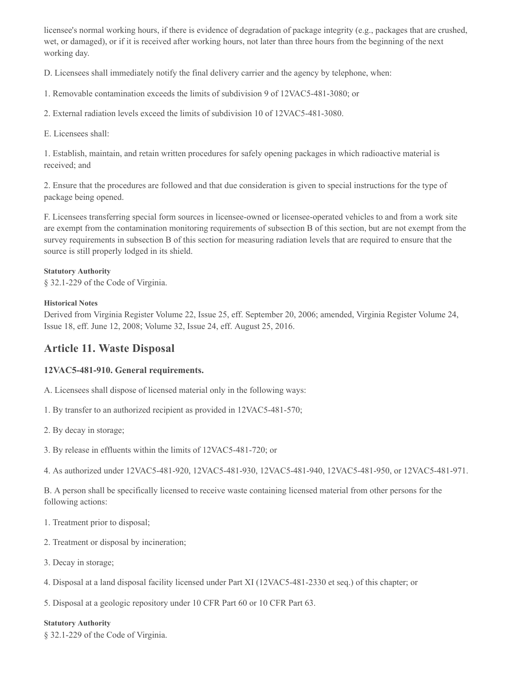licensee's normal working hours, if there is evidence of degradation of package integrity (e.g., packages that are crushed, wet, or damaged), or if it is received after working hours, not later than three hours from the beginning of the next working day.

D. Licensees shall immediately notify the final delivery carrier and the agency by telephone, when:

1. Removable contamination exceeds the limits of subdivision 9 of 12VAC5-481-3080; or

2. External radiation levels exceed the limits of subdivision 10 of 12VAC5-481-3080.

E. Licensees shall:

1. Establish, maintain, and retain written procedures for safely opening packages in which radioactive material is received; and

2. Ensure that the procedures are followed and that due consideration is given to special instructions for the type of package being opened.

F. Licensees transferring special form sources in licensee-owned or licensee-operated vehicles to and from a work site are exempt from the contamination monitoring requirements of subsection B of this section, but are not exempt from the survey requirements in subsection B of this section for measuring radiation levels that are required to ensure that the source is still properly lodged in its shield.

#### **Statutory Authority**

§ 32.1-229 of the Code of Virginia.

#### **Historical Notes**

Derived from Virginia Register Volume 22, Issue 25, eff. September 20, 2006; amended, Virginia Register Volume 24, Issue 18, eff. June 12, 2008; Volume 32, Issue 24, eff. August 25, 2016.

## **Article 11. Waste Disposal**

#### **12VAC5-481-910. General requirements.**

A. Licensees shall dispose of licensed material only in the following ways:

1. By transfer to an authorized recipient as provided in 12VAC5-481-570;

2. By decay in storage;

3. By release in effluents within the limits of 12VAC5-481-720; or

4. As authorized under 12VAC5-481-920, 12VAC5-481-930, 12VAC5-481-940, 12VAC5-481-950, or 12VAC5-481-971.

B. A person shall be specifically licensed to receive waste containing licensed material from other persons for the following actions:

- 1. Treatment prior to disposal;
- 2. Treatment or disposal by incineration;
- 3. Decay in storage;
- 4. Disposal at a land disposal facility licensed under Part XI (12VAC5-481-2330 et seq.) of this chapter; or

5. Disposal at a geologic repository under 10 CFR Part 60 or 10 CFR Part 63.

#### **Statutory Authority**

§ 32.1-229 of the Code of Virginia.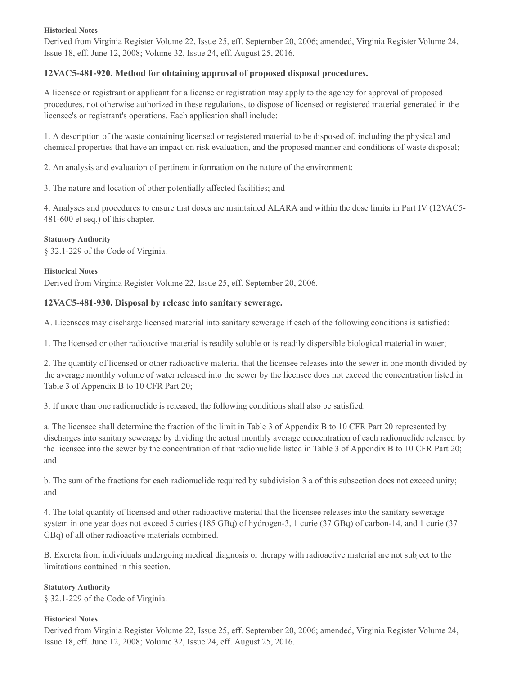#### **Historical Notes**

Derived from Virginia Register Volume 22, Issue 25, eff. September 20, 2006; amended, Virginia Register Volume 24, Issue 18, eff. June 12, 2008; Volume 32, Issue 24, eff. August 25, 2016.

## **12VAC5-481-920. Method for obtaining approval of proposed disposal procedures.**

A licensee or registrant or applicant for a license or registration may apply to the agency for approval of proposed procedures, not otherwise authorized in these regulations, to dispose of licensed or registered material generated in the licensee's or registrant's operations. Each application shall include:

1. A description of the waste containing licensed or registered material to be disposed of, including the physical and chemical properties that have an impact on risk evaluation, and the proposed manner and conditions of waste disposal;

2. An analysis and evaluation of pertinent information on the nature of the environment;

3. The nature and location of other potentially affected facilities; and

4. Analyses and procedures to ensure that doses are maintained ALARA and within the dose limits in Part IV (12VAC5- 481-600 et seq.) of this chapter.

#### **Statutory Authority**

§ 32.1-229 of the Code of Virginia.

## **Historical Notes** Derived from Virginia Register Volume 22, Issue 25, eff. September 20, 2006.

#### **12VAC5-481-930. Disposal by release into sanitary sewerage.**

A. Licensees may discharge licensed material into sanitary sewerage if each of the following conditions is satisfied:

1. The licensed or other radioactive material is readily soluble or is readily dispersible biological material in water;

2. The quantity of licensed or other radioactive material that the licensee releases into the sewer in one month divided by the average monthly volume of water released into the sewer by the licensee does not exceed the concentration listed in Table 3 of Appendix B to 10 CFR Part 20;

3. If more than one radionuclide is released, the following conditions shall also be satisfied:

a. The licensee shall determine the fraction of the limit in Table 3 of Appendix B to 10 CFR Part 20 represented by discharges into sanitary sewerage by dividing the actual monthly average concentration of each radionuclide released by the licensee into the sewer by the concentration of that radionuclide listed in Table 3 of Appendix B to 10 CFR Part 20; and

b. The sum of the fractions for each radionuclide required by subdivision 3 a of this subsection does not exceed unity; and

4. The total quantity of licensed and other radioactive material that the licensee releases into the sanitary sewerage system in one year does not exceed 5 curies (185 GBq) of hydrogen-3, 1 curie (37 GBq) of carbon-14, and 1 curie (37 GBq) of all other radioactive materials combined.

B. Excreta from individuals undergoing medical diagnosis or therapy with radioactive material are not subject to the limitations contained in this section.

#### **Statutory Authority**

§ 32.1-229 of the Code of Virginia.

#### **Historical Notes**

Derived from Virginia Register Volume 22, Issue 25, eff. September 20, 2006; amended, Virginia Register Volume 24, Issue 18, eff. June 12, 2008; Volume 32, Issue 24, eff. August 25, 2016.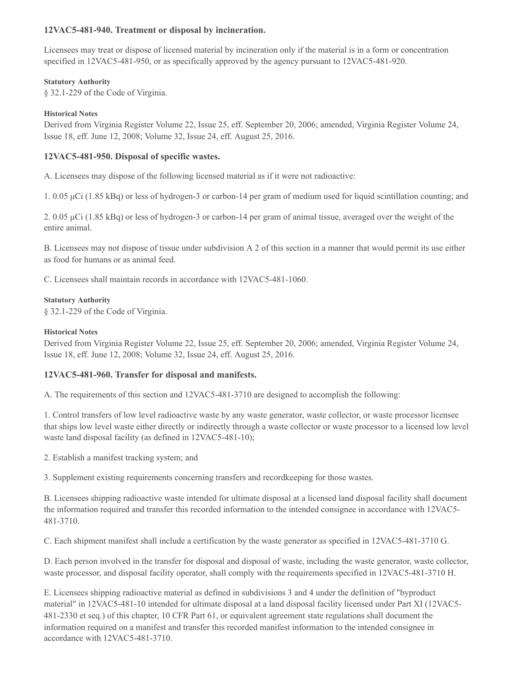## **12VAC5-481-940. Treatment or disposal by incineration.**

Licensees may treat or dispose of licensed material by incineration only if the material is in a form or concentration specified in 12VAC5-481-950, or as specifically approved by the agency pursuant to 12VAC5-481-920.

### **Statutory Authority**

§ 32.1-229 of the Code of Virginia.

## **Historical Notes**

Derived from Virginia Register Volume 22, Issue 25, eff. September 20, 2006; amended, Virginia Register Volume 24, Issue 18, eff. June 12, 2008; Volume 32, Issue 24, eff. August 25, 2016.

## **12VAC5-481-950. Disposal of specific wastes.**

A. Licensees may dispose of the following licensed material as if it were not radioactive:

1. 0.05 μCi (1.85 kBq) or less of hydrogen-3 or carbon-14 per gram of medium used for liquid scintillation counting; and

2. 0.05 μCi (1.85 kBq) or less of hydrogen-3 or carbon-14 per gram of animal tissue, averaged over the weight of the entire animal.

B. Licensees may not dispose of tissue under subdivision A 2 of this section in a manner that would permit its use either as food for humans or as animal feed.

C. Licensees shall maintain records in accordance with 12VAC5-481-1060.

#### **Statutory Authority**

§ 32.1-229 of the Code of Virginia.

#### **Historical Notes**

Derived from Virginia Register Volume 22, Issue 25, eff. September 20, 2006; amended, Virginia Register Volume 24, Issue 18, eff. June 12, 2008; Volume 32, Issue 24, eff. August 25, 2016.

## **12VAC5-481-960. Transfer for disposal and manifests.**

A. The requirements of this section and 12VAC5-481-3710 are designed to accomplish the following:

1. Control transfers of low level radioactive waste by any waste generator, waste collector, or waste processor licensee that ships low level waste either directly or indirectly through a waste collector or waste processor to a licensed low level waste land disposal facility (as defined in 12VAC5-481-10);

2. Establish a manifest tracking system; and

3. Supplement existing requirements concerning transfers and recordkeeping for those wastes.

B. Licensees shipping radioactive waste intended for ultimate disposal at a licensed land disposal facility shall document the information required and transfer this recorded information to the intended consignee in accordance with 12VAC5- 481-3710.

C. Each shipment manifest shall include a certification by the waste generator as specified in 12VAC5-481-3710 G.

D. Each person involved in the transfer for disposal and disposal of waste, including the waste generator, waste collector, waste processor, and disposal facility operator, shall comply with the requirements specified in 12VAC5-481-3710 H.

E. Licensees shipping radioactive material as defined in subdivisions 3 and 4 under the definition of "byproduct material" in 12VAC5-481-10 intended for ultimate disposal at a land disposal facility licensed under Part XI (12VAC5- 481-2330 et seq.) of this chapter, 10 CFR Part 61, or equivalent agreement state regulations shall document the information required on a manifest and transfer this recorded manifest information to the intended consignee in accordance with 12VAC5-481-3710.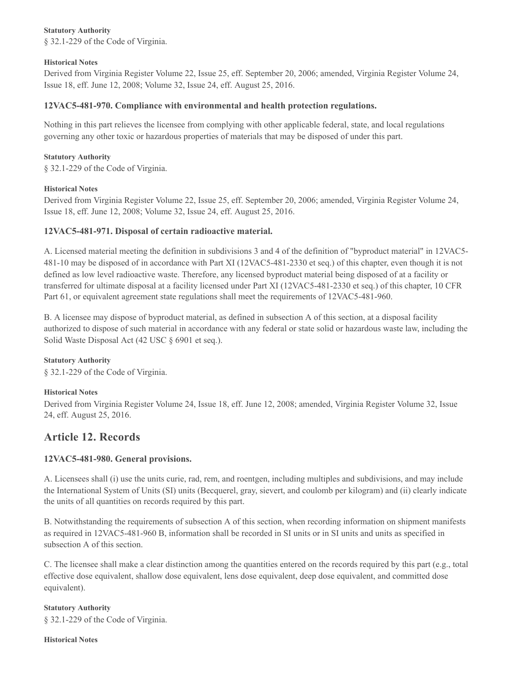#### **Statutory Authority**

§ 32.1-229 of the Code of Virginia.

#### **Historical Notes**

Derived from Virginia Register Volume 22, Issue 25, eff. September 20, 2006; amended, Virginia Register Volume 24, Issue 18, eff. June 12, 2008; Volume 32, Issue 24, eff. August 25, 2016.

## **12VAC5-481-970. Compliance with environmental and health protection regulations.**

Nothing in this part relieves the licensee from complying with other applicable federal, state, and local regulations governing any other toxic or hazardous properties of materials that may be disposed of under this part.

## **Statutory Authority**

§ 32.1-229 of the Code of Virginia.

#### **Historical Notes**

Derived from Virginia Register Volume 22, Issue 25, eff. September 20, 2006; amended, Virginia Register Volume 24, Issue 18, eff. June 12, 2008; Volume 32, Issue 24, eff. August 25, 2016.

## **12VAC5-481-971. Disposal of certain radioactive material.**

A. Licensed material meeting the definition in subdivisions 3 and 4 of the definition of "byproduct material" in 12VAC5- 481-10 may be disposed of in accordance with Part XI (12VAC5-481-2330 et seq.) of this chapter, even though it is not defined as low level radioactive waste. Therefore, any licensed byproduct material being disposed of at a facility or transferred for ultimate disposal at a facility licensed under Part XI (12VAC5-481-2330 et seq.) of this chapter, 10 CFR Part 61, or equivalent agreement state regulations shall meet the requirements of 12VAC5-481-960.

B. A licensee may dispose of byproduct material, as defined in subsection A of this section, at a disposal facility authorized to dispose of such material in accordance with any federal or state solid or hazardous waste law, including the Solid Waste Disposal Act (42 USC § 6901 et seq.).

## **Statutory Authority**

§ 32.1-229 of the Code of Virginia.

## **Historical Notes**

Derived from Virginia Register Volume 24, Issue 18, eff. June 12, 2008; amended, Virginia Register Volume 32, Issue 24, eff. August 25, 2016.

# **Article 12. Records**

## **12VAC5-481-980. General provisions.**

A. Licensees shall (i) use the units curie, rad, rem, and roentgen, including multiples and subdivisions, and may include the International System of Units (SI) units (Becquerel, gray, sievert, and coulomb per kilogram) and (ii) clearly indicate the units of all quantities on records required by this part.

B. Notwithstanding the requirements of subsection A of this section, when recording information on shipment manifests as required in 12VAC5-481-960 B, information shall be recorded in SI units or in SI units and units as specified in subsection A of this section.

C. The licensee shall make a clear distinction among the quantities entered on the records required by this part (e.g., total effective dose equivalent, shallow dose equivalent, lens dose equivalent, deep dose equivalent, and committed dose equivalent).

## **Statutory Authority**

§ 32.1-229 of the Code of Virginia.

#### **Historical Notes**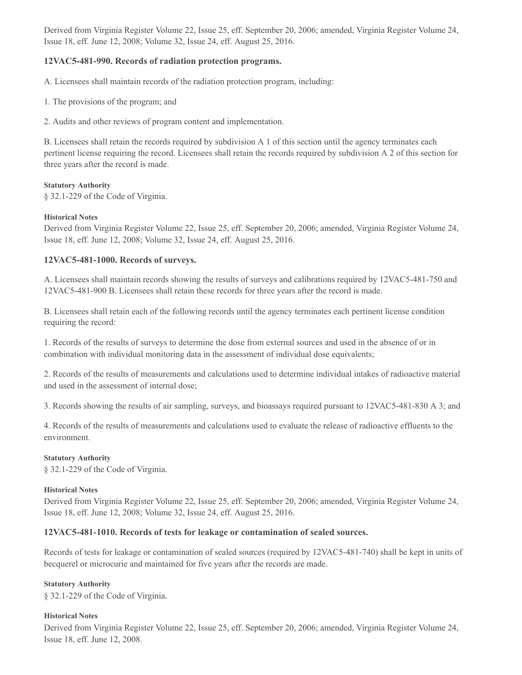Derived from Virginia Register Volume 22, Issue 25, eff. September 20, 2006; amended, Virginia Register Volume 24, Issue 18, eff. June 12, 2008; Volume 32, Issue 24, eff. August 25, 2016.

## **12VAC5-481-990. Records of radiation protection programs.**

A. Licensees shall maintain records of the radiation protection program, including:

1. The provisions of the program; and

2. Audits and other reviews of program content and implementation.

B. Licensees shall retain the records required by subdivision A 1 of this section until the agency terminates each pertinent license requiring the record. Licensees shall retain the records required by subdivision A 2 of this section for three years after the record is made.

#### **Statutory Authority**

§ 32.1-229 of the Code of Virginia.

#### **Historical Notes**

Derived from Virginia Register Volume 22, Issue 25, eff. September 20, 2006; amended, Virginia Register Volume 24, Issue 18, eff. June 12, 2008; Volume 32, Issue 24, eff. August 25, 2016.

## **12VAC5-481-1000. Records of surveys.**

A. Licensees shall maintain records showing the results of surveys and calibrations required by 12VAC5-481-750 and 12VAC5-481-900 B. Licensees shall retain these records for three years after the record is made.

B. Licensees shall retain each of the following records until the agency terminates each pertinent license condition requiring the record:

1. Records of the results of surveys to determine the dose from external sources and used in the absence of or in combination with individual monitoring data in the assessment of individual dose equivalents;

2. Records of the results of measurements and calculations used to determine individual intakes of radioactive material and used in the assessment of internal dose;

3. Records showing the results of air sampling, surveys, and bioassays required pursuant to 12VAC5-481-830 A 3; and

4. Records of the results of measurements and calculations used to evaluate the release of radioactive effluents to the environment.

#### **Statutory Authority**

§ 32.1-229 of the Code of Virginia.

#### **Historical Notes**

Derived from Virginia Register Volume 22, Issue 25, eff. September 20, 2006; amended, Virginia Register Volume 24, Issue 18, eff. June 12, 2008; Volume 32, Issue 24, eff. August 25, 2016.

## **12VAC5-481-1010. Records of tests for leakage or contamination of sealed sources.**

Records of tests for leakage or contamination of sealed sources (required by 12VAC5-481-740) shall be kept in units of becquerel or microcurie and maintained for five years after the records are made.

#### **Statutory Authority**

§ 32.1-229 of the Code of Virginia.

#### **Historical Notes**

Derived from Virginia Register Volume 22, Issue 25, eff. September 20, 2006; amended, Virginia Register Volume 24, Issue 18, eff. June 12, 2008.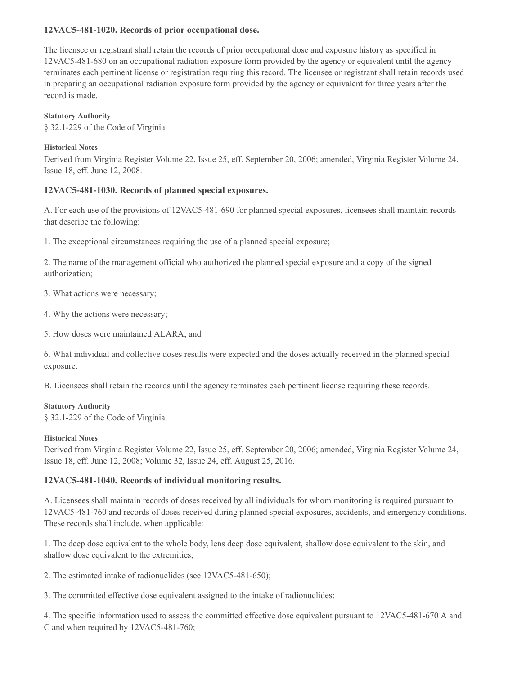## **12VAC5-481-1020. Records of prior occupational dose.**

The licensee or registrant shall retain the records of prior occupational dose and exposure history as specified in 12VAC5-481-680 on an occupational radiation exposure form provided by the agency or equivalent until the agency terminates each pertinent license or registration requiring this record. The licensee or registrant shall retain records used in preparing an occupational radiation exposure form provided by the agency or equivalent for three years after the record is made.

#### **Statutory Authority**

§ 32.1-229 of the Code of Virginia.

#### **Historical Notes**

Derived from Virginia Register Volume 22, Issue 25, eff. September 20, 2006; amended, Virginia Register Volume 24, Issue 18, eff. June 12, 2008.

## **12VAC5-481-1030. Records of planned special exposures.**

A. For each use of the provisions of 12VAC5-481-690 for planned special exposures, licensees shall maintain records that describe the following:

1. The exceptional circumstances requiring the use of a planned special exposure;

2. The name of the management official who authorized the planned special exposure and a copy of the signed authorization;

3. What actions were necessary;

- 4. Why the actions were necessary;
- 5. How doses were maintained ALARA; and

6. What individual and collective doses results were expected and the doses actually received in the planned special exposure.

B. Licensees shall retain the records until the agency terminates each pertinent license requiring these records.

#### **Statutory Authority**

§ 32.1-229 of the Code of Virginia.

#### **Historical Notes**

Derived from Virginia Register Volume 22, Issue 25, eff. September 20, 2006; amended, Virginia Register Volume 24, Issue 18, eff. June 12, 2008; Volume 32, Issue 24, eff. August 25, 2016.

## **12VAC5-481-1040. Records of individual monitoring results.**

A. Licensees shall maintain records of doses received by all individuals for whom monitoring is required pursuant to 12VAC5-481-760 and records of doses received during planned special exposures, accidents, and emergency conditions. These records shall include, when applicable:

1. The deep dose equivalent to the whole body, lens deep dose equivalent, shallow dose equivalent to the skin, and shallow dose equivalent to the extremities;

2. The estimated intake of radionuclides (see 12VAC5-481-650);

3. The committed effective dose equivalent assigned to the intake of radionuclides;

4. The specific information used to assess the committed effective dose equivalent pursuant to 12VAC5-481-670 A and C and when required by 12VAC5-481-760;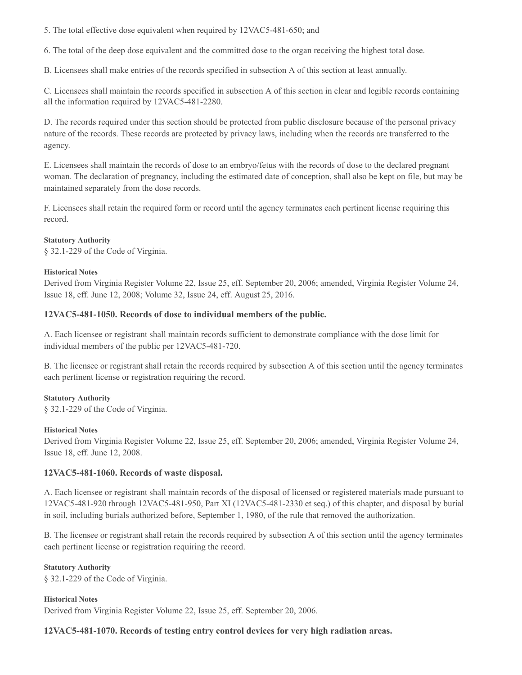5. The total effective dose equivalent when required by 12VAC5-481-650; and

6. The total of the deep dose equivalent and the committed dose to the organ receiving the highest total dose.

B. Licensees shall make entries of the records specified in subsection A of this section at least annually.

C. Licensees shall maintain the records specified in subsection A of this section in clear and legible records containing all the information required by 12VAC5-481-2280.

D. The records required under this section should be protected from public disclosure because of the personal privacy nature of the records. These records are protected by privacy laws, including when the records are transferred to the agency.

E. Licensees shall maintain the records of dose to an embryo/fetus with the records of dose to the declared pregnant woman. The declaration of pregnancy, including the estimated date of conception, shall also be kept on file, but may be maintained separately from the dose records.

F. Licensees shall retain the required form or record until the agency terminates each pertinent license requiring this record.

#### **Statutory Authority**

§ 32.1-229 of the Code of Virginia.

#### **Historical Notes**

Derived from Virginia Register Volume 22, Issue 25, eff. September 20, 2006; amended, Virginia Register Volume 24, Issue 18, eff. June 12, 2008; Volume 32, Issue 24, eff. August 25, 2016.

#### **12VAC5-481-1050. Records of dose to individual members of the public.**

A. Each licensee or registrant shall maintain records sufficient to demonstrate compliance with the dose limit for individual members of the public per 12VAC5-481-720.

B. The licensee or registrant shall retain the records required by subsection A of this section until the agency terminates each pertinent license or registration requiring the record.

#### **Statutory Authority**

§ 32.1-229 of the Code of Virginia.

#### **Historical Notes**

Derived from Virginia Register Volume 22, Issue 25, eff. September 20, 2006; amended, Virginia Register Volume 24, Issue 18, eff. June 12, 2008.

#### **12VAC5-481-1060. Records of waste disposal.**

A. Each licensee or registrant shall maintain records of the disposal of licensed or registered materials made pursuant to 12VAC5-481-920 through 12VAC5-481-950, Part XI (12VAC5-481-2330 et seq.) of this chapter, and disposal by burial in soil, including burials authorized before, September 1, 1980, of the rule that removed the authorization.

B. The licensee or registrant shall retain the records required by subsection A of this section until the agency terminates each pertinent license or registration requiring the record.

#### **Statutory Authority**

§ 32.1-229 of the Code of Virginia.

### **Historical Notes**

Derived from Virginia Register Volume 22, Issue 25, eff. September 20, 2006.

#### **12VAC5-481-1070. Records of testing entry control devices for very high radiation areas.**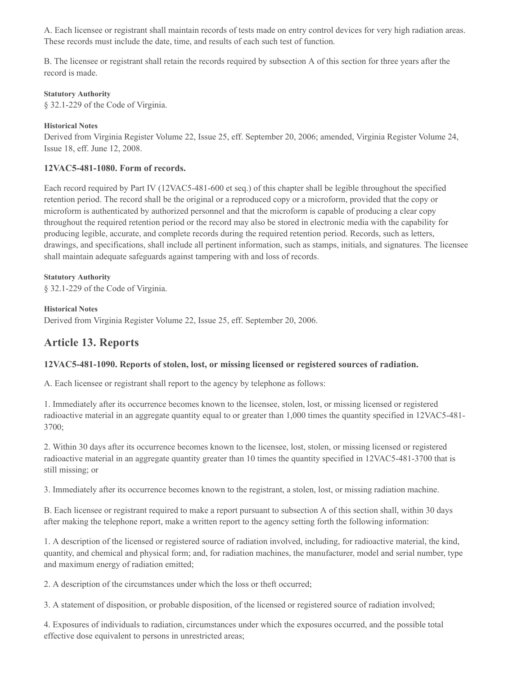A. Each licensee or registrant shall maintain records of tests made on entry control devices for very high radiation areas. These records must include the date, time, and results of each such test of function.

B. The licensee or registrant shall retain the records required by subsection A of this section for three years after the record is made.

#### **Statutory Authority**

§ 32.1-229 of the Code of Virginia.

### **Historical Notes**

Derived from Virginia Register Volume 22, Issue 25, eff. September 20, 2006; amended, Virginia Register Volume 24, Issue 18, eff. June 12, 2008.

## **12VAC5-481-1080. Form of records.**

Each record required by Part IV (12VAC5-481-600 et seq.) of this chapter shall be legible throughout the specified retention period. The record shall be the original or a reproduced copy or a microform, provided that the copy or microform is authenticated by authorized personnel and that the microform is capable of producing a clear copy throughout the required retention period or the record may also be stored in electronic media with the capability for producing legible, accurate, and complete records during the required retention period. Records, such as letters, drawings, and specifications, shall include all pertinent information, such as stamps, initials, and signatures. The licensee shall maintain adequate safeguards against tampering with and loss of records.

**Statutory Authority** § 32.1-229 of the Code of Virginia.

#### **Historical Notes**

Derived from Virginia Register Volume 22, Issue 25, eff. September 20, 2006.

## **Article 13. Reports**

## **12VAC5-481-1090. Reports of stolen, lost, or missing licensed or registered sources of radiation.**

A. Each licensee or registrant shall report to the agency by telephone as follows:

1. Immediately after its occurrence becomes known to the licensee, stolen, lost, or missing licensed or registered radioactive material in an aggregate quantity equal to or greater than 1,000 times the quantity specified in 12VAC5-481- 3700;

2. Within 30 days after its occurrence becomes known to the licensee, lost, stolen, or missing licensed or registered radioactive material in an aggregate quantity greater than 10 times the quantity specified in 12VAC5-481-3700 that is still missing; or

3. Immediately after its occurrence becomes known to the registrant, a stolen, lost, or missing radiation machine.

B. Each licensee or registrant required to make a report pursuant to subsection A of this section shall, within 30 days after making the telephone report, make a written report to the agency setting forth the following information:

1. A description of the licensed or registered source of radiation involved, including, for radioactive material, the kind, quantity, and chemical and physical form; and, for radiation machines, the manufacturer, model and serial number, type and maximum energy of radiation emitted;

2. A description of the circumstances under which the loss or theft occurred;

3. A statement of disposition, or probable disposition, of the licensed or registered source of radiation involved;

4. Exposures of individuals to radiation, circumstances under which the exposures occurred, and the possible total effective dose equivalent to persons in unrestricted areas;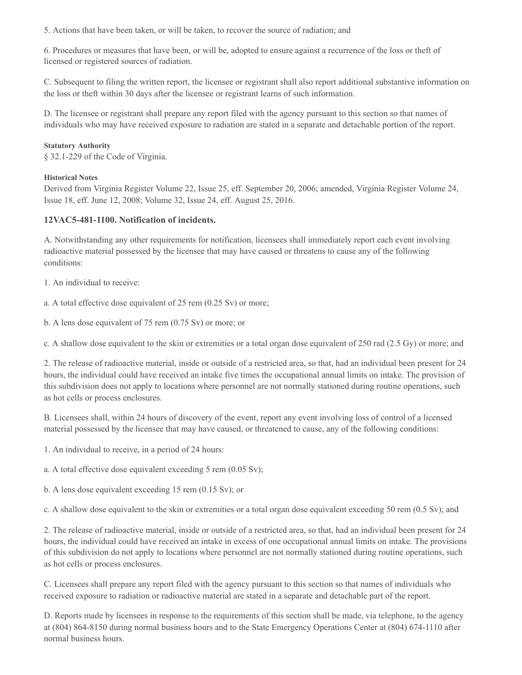5. Actions that have been taken, or will be taken, to recover the source of radiation; and

6. Procedures or measures that have been, or will be, adopted to ensure against a recurrence of the loss or theft of licensed or registered sources of radiation.

C. Subsequent to filing the written report, the licensee or registrant shall also report additional substantive information on the loss or theft within 30 days after the licensee or registrant learns of such information.

D. The licensee or registrant shall prepare any report filed with the agency pursuant to this section so that names of individuals who may have received exposure to radiation are stated in a separate and detachable portion of the report.

#### **Statutory Authority**

§ 32.1-229 of the Code of Virginia.

#### **Historical Notes**

Derived from Virginia Register Volume 22, Issue 25, eff. September 20, 2006; amended, Virginia Register Volume 24, Issue 18, eff. June 12, 2008; Volume 32, Issue 24, eff. August 25, 2016.

### **12VAC5-481-1100. Notification of incidents.**

A. Notwithstanding any other requirements for notification, licensees shall immediately report each event involving radioactive material possessed by the licensee that may have caused or threatens to cause any of the following conditions:

1. An individual to receive:

a. A total effective dose equivalent of 25 rem (0.25 Sv) or more;

b. A lens dose equivalent of 75 rem (0.75 Sv) or more; or

c. A shallow dose equivalent to the skin or extremities or a total organ dose equivalent of 250 rad (2.5 Gy) or more; and

2. The release of radioactive material, inside or outside of a restricted area, so that, had an individual been present for 24 hours, the individual could have received an intake five times the occupational annual limits on intake. The provision of this subdivision does not apply to locations where personnel are not normally stationed during routine operations, such as hot cells or process enclosures.

B. Licensees shall, within 24 hours of discovery of the event, report any event involving loss of control of a licensed material possessed by the licensee that may have caused, or threatened to cause, any of the following conditions:

1. An individual to receive, in a period of 24 hours:

a. A total effective dose equivalent exceeding 5 rem (0.05 Sv);

b. A lens dose equivalent exceeding 15 rem (0.15 Sv); or

c. A shallow dose equivalent to the skin or extremities or a total organ dose equivalent exceeding 50 rem (0.5 Sv); and

2. The release of radioactive material, inside or outside of a restricted area, so that, had an individual been present for 24 hours, the individual could have received an intake in excess of one occupational annual limits on intake. The provisions of this subdivision do not apply to locations where personnel are not normally stationed during routine operations, such as hot cells or process enclosures.

C. Licensees shall prepare any report filed with the agency pursuant to this section so that names of individuals who received exposure to radiation or radioactive material are stated in a separate and detachable part of the report.

D. Reports made by licensees in response to the requirements of this section shall be made, via telephone, to the agency at (804) 864-8150 during normal business hours and to the State Emergency Operations Center at (804) 674-1110 after normal business hours.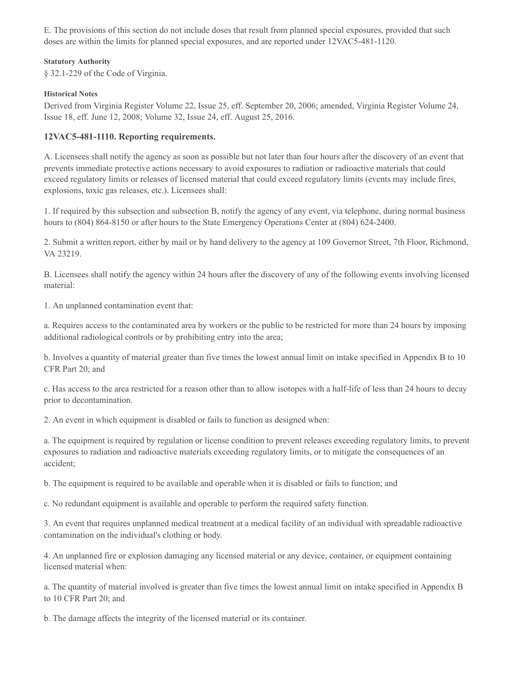E. The provisions of this section do not include doses that result from planned special exposures, provided that such doses are within the limits for planned special exposures, and are reported under 12VAC5-481-1120.

#### **Statutory Authority**

§ 32.1-229 of the Code of Virginia.

#### **Historical Notes**

Derived from Virginia Register Volume 22, Issue 25, eff. September 20, 2006; amended, Virginia Register Volume 24, Issue 18, eff. June 12, 2008; Volume 32, Issue 24, eff. August 25, 2016.

## **12VAC5-481-1110. Reporting requirements.**

A. Licensees shall notify the agency as soon as possible but not later than four hours after the discovery of an event that prevents immediate protective actions necessary to avoid exposures to radiation or radioactive materials that could exceed regulatory limits or releases of licensed material that could exceed regulatory limits (events may include fires, explosions, toxic gas releases, etc.). Licensees shall:

1. If required by this subsection and subsection B, notify the agency of any event, via telephone, during normal business hours to (804) 864-8150 or after hours to the State Emergency Operations Center at (804) 624-2400.

2. Submit a written report, either by mail or by hand delivery to the agency at 109 Governor Street, 7th Floor, Richmond, VA 23219.

B. Licensees shall notify the agency within 24 hours after the discovery of any of the following events involving licensed material:

1. An unplanned contamination event that:

a. Requires access to the contaminated area by workers or the public to be restricted for more than 24 hours by imposing additional radiological controls or by prohibiting entry into the area;

b. Involves a quantity of material greater than five times the lowest annual limit on intake specified in Appendix B to 10 CFR Part 20; and

c. Has access to the area restricted for a reason other than to allow isotopes with a half-life of less than 24 hours to decay prior to decontamination.

2. An event in which equipment is disabled or fails to function as designed when:

a. The equipment is required by regulation or license condition to prevent releases exceeding regulatory limits, to prevent exposures to radiation and radioactive materials exceeding regulatory limits, or to mitigate the consequences of an accident;

b. The equipment is required to be available and operable when it is disabled or fails to function; and

c. No redundant equipment is available and operable to perform the required safety function.

3. An event that requires unplanned medical treatment at a medical facility of an individual with spreadable radioactive contamination on the individual's clothing or body.

4. An unplanned fire or explosion damaging any licensed material or any device, container, or equipment containing licensed material when:

a. The quantity of material involved is greater than five times the lowest annual limit on intake specified in Appendix B to 10 CFR Part 20; and

b. The damage affects the integrity of the licensed material or its container.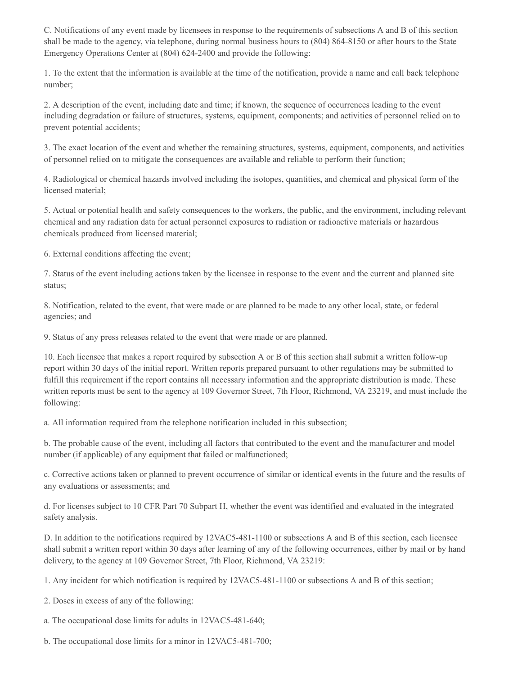C. Notifications of any event made by licensees in response to the requirements of subsections A and B of this section shall be made to the agency, via telephone, during normal business hours to (804) 864-8150 or after hours to the State Emergency Operations Center at (804) 624-2400 and provide the following:

1. To the extent that the information is available at the time of the notification, provide a name and call back telephone number;

2. A description of the event, including date and time; if known, the sequence of occurrences leading to the event including degradation or failure of structures, systems, equipment, components; and activities of personnel relied on to prevent potential accidents;

3. The exact location of the event and whether the remaining structures, systems, equipment, components, and activities of personnel relied on to mitigate the consequences are available and reliable to perform their function;

4. Radiological or chemical hazards involved including the isotopes, quantities, and chemical and physical form of the licensed material;

5. Actual or potential health and safety consequences to the workers, the public, and the environment, including relevant chemical and any radiation data for actual personnel exposures to radiation or radioactive materials or hazardous chemicals produced from licensed material;

6. External conditions affecting the event;

7. Status of the event including actions taken by the licensee in response to the event and the current and planned site status;

8. Notification, related to the event, that were made or are planned to be made to any other local, state, or federal agencies; and

9. Status of any press releases related to the event that were made or are planned.

10. Each licensee that makes a report required by subsection A or B of this section shall submit a written follow-up report within 30 days of the initial report. Written reports prepared pursuant to other regulations may be submitted to fulfill this requirement if the report contains all necessary information and the appropriate distribution is made. These written reports must be sent to the agency at 109 Governor Street, 7th Floor, Richmond, VA 23219, and must include the following:

a. All information required from the telephone notification included in this subsection;

b. The probable cause of the event, including all factors that contributed to the event and the manufacturer and model number (if applicable) of any equipment that failed or malfunctioned;

c. Corrective actions taken or planned to prevent occurrence of similar or identical events in the future and the results of any evaluations or assessments; and

d. For licenses subject to 10 CFR Part 70 Subpart H, whether the event was identified and evaluated in the integrated safety analysis.

D. In addition to the notifications required by 12VAC5-481-1100 or subsections A and B of this section, each licensee shall submit a written report within 30 days after learning of any of the following occurrences, either by mail or by hand delivery, to the agency at 109 Governor Street, 7th Floor, Richmond, VA 23219:

1. Any incident for which notification is required by 12VAC5-481-1100 or subsections A and B of this section;

2. Doses in excess of any of the following:

a. The occupational dose limits for adults in 12VAC5-481-640;

b. The occupational dose limits for a minor in 12VAC5-481-700;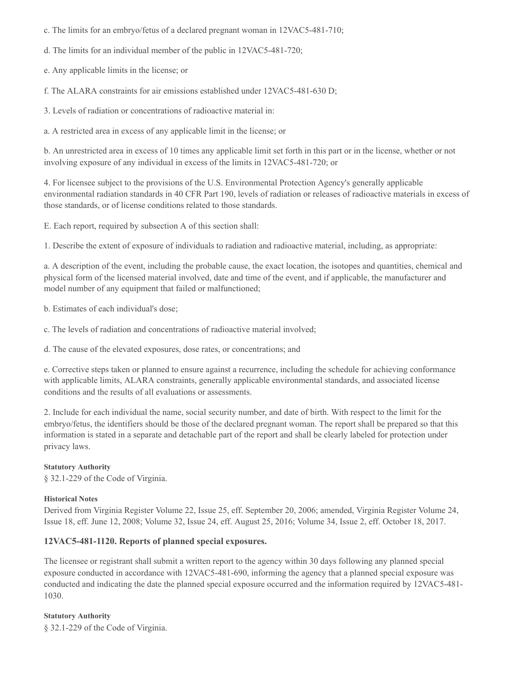- c. The limits for an embryo/fetus of a declared pregnant woman in 12VAC5-481-710;
- d. The limits for an individual member of the public in 12VAC5-481-720;
- e. Any applicable limits in the license; or
- f. The ALARA constraints for air emissions established under 12VAC5-481-630 D;
- 3. Levels of radiation or concentrations of radioactive material in:
- a. A restricted area in excess of any applicable limit in the license; or

b. An unrestricted area in excess of 10 times any applicable limit set forth in this part or in the license, whether or not involving exposure of any individual in excess of the limits in 12VAC5-481-720; or

4. For licensee subject to the provisions of the U.S. Environmental Protection Agency's generally applicable environmental radiation standards in 40 CFR Part 190, levels of radiation or releases of radioactive materials in excess of those standards, or of license conditions related to those standards.

E. Each report, required by subsection A of this section shall:

1. Describe the extent of exposure of individuals to radiation and radioactive material, including, as appropriate:

a. A description of the event, including the probable cause, the exact location, the isotopes and quantities, chemical and physical form of the licensed material involved, date and time of the event, and if applicable, the manufacturer and model number of any equipment that failed or malfunctioned;

b. Estimates of each individual's dose;

- c. The levels of radiation and concentrations of radioactive material involved;
- d. The cause of the elevated exposures, dose rates, or concentrations; and

e. Corrective steps taken or planned to ensure against a recurrence, including the schedule for achieving conformance with applicable limits, ALARA constraints, generally applicable environmental standards, and associated license conditions and the results of all evaluations or assessments.

2. Include for each individual the name, social security number, and date of birth. With respect to the limit for the embryo/fetus, the identifiers should be those of the declared pregnant woman. The report shall be prepared so that this information is stated in a separate and detachable part of the report and shall be clearly labeled for protection under privacy laws.

#### **Statutory Authority**

§ 32.1-229 of the Code of Virginia.

#### **Historical Notes**

Derived from Virginia Register Volume 22, Issue 25, eff. September 20, 2006; amended, Virginia Register Volume 24, Issue 18, eff. June 12, 2008; Volume 32, Issue 24, eff. August 25, 2016; Volume 34, Issue 2, eff. October 18, 2017.

## **12VAC5-481-1120. Reports of planned special exposures.**

The licensee or registrant shall submit a written report to the agency within 30 days following any planned special exposure conducted in accordance with 12VAC5-481-690, informing the agency that a planned special exposure was conducted and indicating the date the planned special exposure occurred and the information required by 12VAC5-481- 1030.

**Statutory Authority** § 32.1-229 of the Code of Virginia.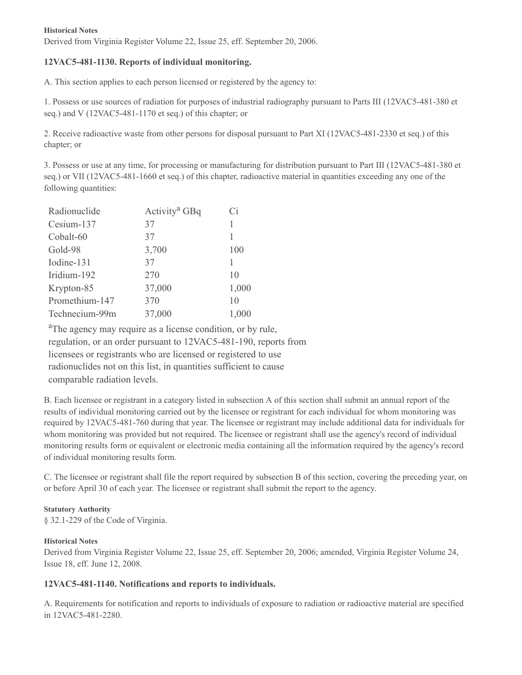#### **Historical Notes**

Derived from Virginia Register Volume 22, Issue 25, eff. September 20, 2006.

## **12VAC5-481-1130. Reports of individual monitoring.**

A. This section applies to each person licensed or registered by the agency to:

1. Possess or use sources of radiation for purposes of industrial radiography pursuant to Parts III (12VAC5-481-380 et seq.) and V (12VAC5-481-1170 et seq.) of this chapter; or

2. Receive radioactive waste from other persons for disposal pursuant to Part XI (12VAC5-481-2330 et seq.) of this chapter; or

3. Possess or use at any time, for processing or manufacturing for distribution pursuant to Part III (12VAC5-481-380 et seq.) or VII (12VAC5-481-1660 et seq.) of this chapter, radioactive material in quantities exceeding any one of the following quantities:

| Radionuclide   | Activity <sup>a</sup> GBq | Ci    |
|----------------|---------------------------|-------|
| Cesium-137     | 37                        |       |
| Cobalt-60      | 37                        |       |
| Gold-98        | 3,700                     | 100   |
| Iodine-131     | 37                        |       |
| Iridium-192    | 270                       | 10    |
| Krypton-85     | 37,000                    | 1,000 |
| Promethium-147 | 370                       | 10    |
| Technecium-99m | 37,000                    | 1,000 |

<sup>a</sup>The agency may require as a license condition, or by rule, regulation, or an order pursuant to 12VAC5-481-190, reports from licensees or registrants who are licensed or registered to use radionuclides not on this list, in quantities sufficient to cause comparable radiation levels.

B. Each licensee or registrant in a category listed in subsection A of this section shall submit an annual report of the results of individual monitoring carried out by the licensee or registrant for each individual for whom monitoring was required by 12VAC5-481-760 during that year. The licensee or registrant may include additional data for individuals for whom monitoring was provided but not required. The licensee or registrant shall use the agency's record of individual monitoring results form or equivalent or electronic media containing all the information required by the agency's record of individual monitoring results form.

C. The licensee or registrant shall file the report required by subsection B of this section, covering the preceding year, on or before April 30 of each year. The licensee or registrant shall submit the report to the agency.

## **Statutory Authority**

§ 32.1-229 of the Code of Virginia.

## **Historical Notes**

Derived from Virginia Register Volume 22, Issue 25, eff. September 20, 2006; amended, Virginia Register Volume 24, Issue 18, eff. June 12, 2008.

## **12VAC5-481-1140. Notifications and reports to individuals.**

A. Requirements for notification and reports to individuals of exposure to radiation or radioactive material are specified in 12VAC5-481-2280.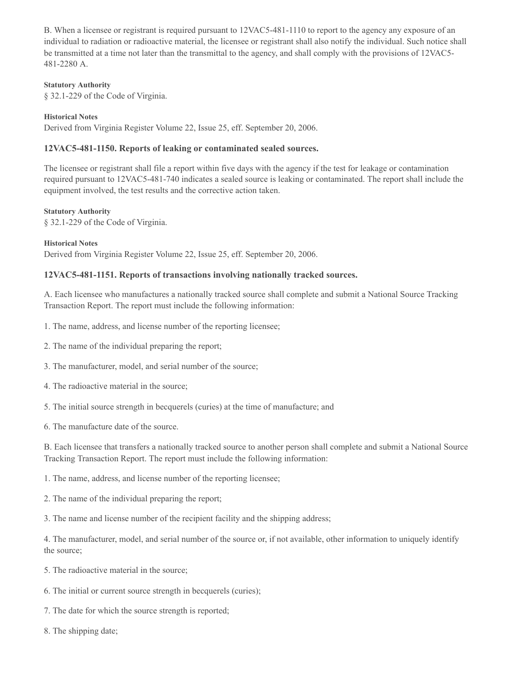B. When a licensee or registrant is required pursuant to 12VAC5-481-1110 to report to the agency any exposure of an individual to radiation or radioactive material, the licensee or registrant shall also notify the individual. Such notice shall be transmitted at a time not later than the transmittal to the agency, and shall comply with the provisions of 12VAC5- 481-2280 A.

#### **Statutory Authority**

§ 32.1-229 of the Code of Virginia.

#### **Historical Notes**

Derived from Virginia Register Volume 22, Issue 25, eff. September 20, 2006.

### **12VAC5-481-1150. Reports of leaking or contaminated sealed sources.**

The licensee or registrant shall file a report within five days with the agency if the test for leakage or contamination required pursuant to 12VAC5-481-740 indicates a sealed source is leaking or contaminated. The report shall include the equipment involved, the test results and the corrective action taken.

#### **Statutory Authority**

§ 32.1-229 of the Code of Virginia.

**Historical Notes** Derived from Virginia Register Volume 22, Issue 25, eff. September 20, 2006.

#### **12VAC5-481-1151. Reports of transactions involving nationally tracked sources.**

A. Each licensee who manufactures a nationally tracked source shall complete and submit a National Source Tracking Transaction Report. The report must include the following information:

- 1. The name, address, and license number of the reporting licensee;
- 2. The name of the individual preparing the report;
- 3. The manufacturer, model, and serial number of the source;
- 4. The radioactive material in the source;
- 5. The initial source strength in becquerels (curies) at the time of manufacture; and
- 6. The manufacture date of the source.

B. Each licensee that transfers a nationally tracked source to another person shall complete and submit a National Source Tracking Transaction Report. The report must include the following information:

1. The name, address, and license number of the reporting licensee;

2. The name of the individual preparing the report;

3. The name and license number of the recipient facility and the shipping address;

4. The manufacturer, model, and serial number of the source or, if not available, other information to uniquely identify the source;

- 5. The radioactive material in the source;
- 6. The initial or current source strength in becquerels (curies);
- 7. The date for which the source strength is reported;
- 8. The shipping date;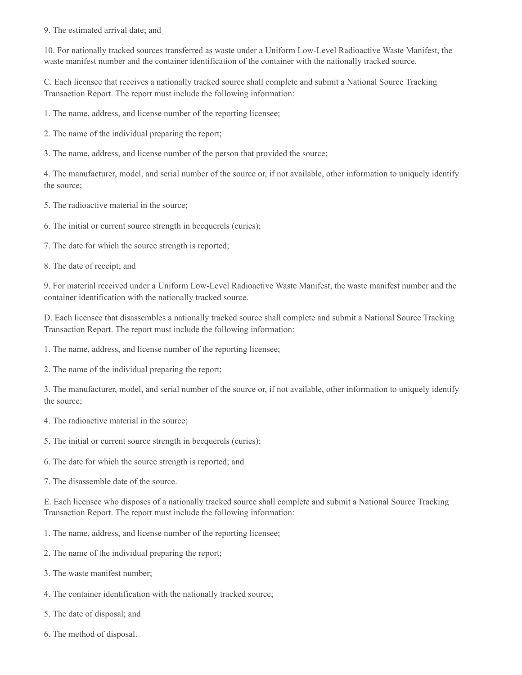#### 9. The estimated arrival date; and

10. For nationally tracked sources transferred as waste under a Uniform Low-Level Radioactive Waste Manifest, the waste manifest number and the container identification of the container with the nationally tracked source.

C. Each licensee that receives a nationally tracked source shall complete and submit a National Source Tracking Transaction Report. The report must include the following information:

1. The name, address, and license number of the reporting licensee;

2. The name of the individual preparing the report;

3. The name, address, and license number of the person that provided the source;

4. The manufacturer, model, and serial number of the source or, if not available, other information to uniquely identify the source;

5. The radioactive material in the source;

6. The initial or current source strength in becquerels (curies);

7. The date for which the source strength is reported;

8. The date of receipt; and

9. For material received under a Uniform Low-Level Radioactive Waste Manifest, the waste manifest number and the container identification with the nationally tracked source.

D. Each licensee that disassembles a nationally tracked source shall complete and submit a National Source Tracking Transaction Report. The report must include the following information:

1. The name, address, and license number of the reporting licensee;

2. The name of the individual preparing the report;

3. The manufacturer, model, and serial number of the source or, if not available, other information to uniquely identify the source;

4. The radioactive material in the source;

- 5. The initial or current source strength in becquerels (curies);
- 6. The date for which the source strength is reported; and
- 7. The disassemble date of the source.

E. Each licensee who disposes of a nationally tracked source shall complete and submit a National Source Tracking Transaction Report. The report must include the following information:

- 1. The name, address, and license number of the reporting licensee;
- 2. The name of the individual preparing the report;
- 3. The waste manifest number;
- 4. The container identification with the nationally tracked source;
- 5. The date of disposal; and
- 6. The method of disposal.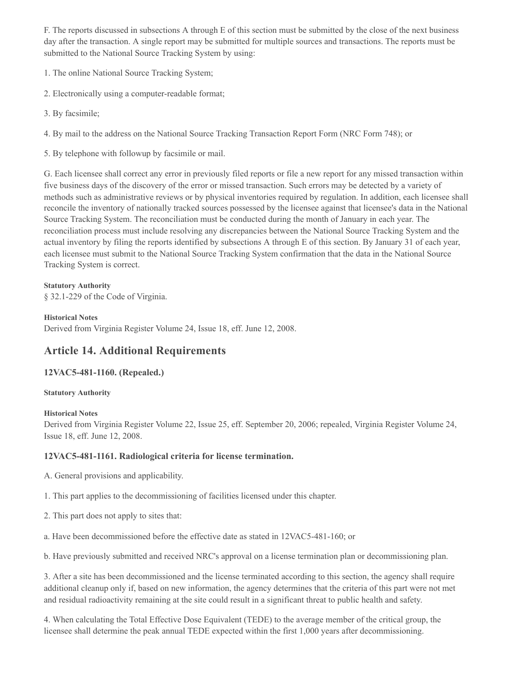F. The reports discussed in subsections A through E of this section must be submitted by the close of the next business day after the transaction. A single report may be submitted for multiple sources and transactions. The reports must be submitted to the National Source Tracking System by using:

1. The online National Source Tracking System;

- 2. Electronically using a computer-readable format;
- 3. By facsimile;

4. By mail to the address on the National Source Tracking Transaction Report Form (NRC Form 748); or

5. By telephone with followup by facsimile or mail.

G. Each licensee shall correct any error in previously filed reports or file a new report for any missed transaction within five business days of the discovery of the error or missed transaction. Such errors may be detected by a variety of methods such as administrative reviews or by physical inventories required by regulation. In addition, each licensee shall reconcile the inventory of nationally tracked sources possessed by the licensee against that licensee's data in the National Source Tracking System. The reconciliation must be conducted during the month of January in each year. The reconciliation process must include resolving any discrepancies between the National Source Tracking System and the actual inventory by filing the reports identified by subsections A through E of this section. By January 31 of each year, each licensee must submit to the National Source Tracking System confirmation that the data in the National Source Tracking System is correct.

## **Statutory Authority**

§ 32.1-229 of the Code of Virginia.

#### **Historical Notes**

Derived from Virginia Register Volume 24, Issue 18, eff. June 12, 2008.

# **Article 14. Additional Requirements**

## **12VAC5-481-1160. (Repealed.)**

## **Statutory Authority**

## **Historical Notes**

Derived from Virginia Register Volume 22, Issue 25, eff. September 20, 2006; repealed, Virginia Register Volume 24, Issue 18, eff. June 12, 2008.

## **12VAC5-481-1161. Radiological criteria for license termination.**

- A. General provisions and applicability.
- 1. This part applies to the decommissioning of facilities licensed under this chapter.
- 2. This part does not apply to sites that:
- a. Have been decommissioned before the effective date as stated in 12VAC5-481-160; or
- b. Have previously submitted and received NRC's approval on a license termination plan or decommissioning plan.

3. After a site has been decommissioned and the license terminated according to this section, the agency shall require additional cleanup only if, based on new information, the agency determines that the criteria of this part were not met and residual radioactivity remaining at the site could result in a significant threat to public health and safety.

4. When calculating the Total Effective Dose Equivalent (TEDE) to the average member of the critical group, the licensee shall determine the peak annual TEDE expected within the first 1,000 years after decommissioning.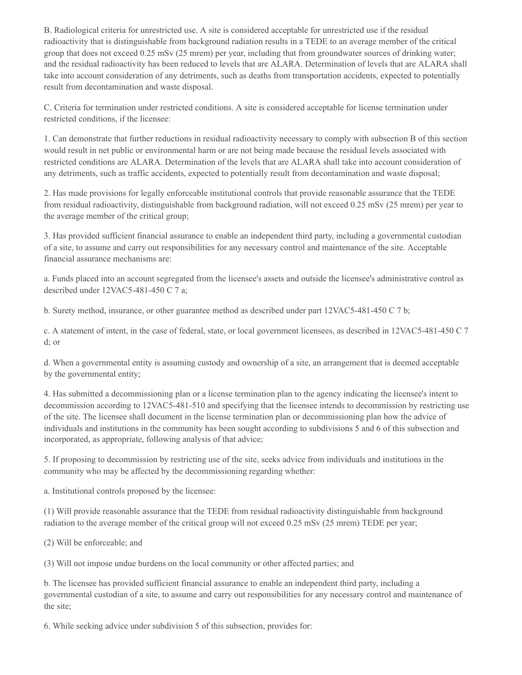B. Radiological criteria for unrestricted use. A site is considered acceptable for unrestricted use if the residual radioactivity that is distinguishable from background radiation results in a TEDE to an average member of the critical group that does not exceed 0.25 mSv (25 mrem) per year, including that from groundwater sources of drinking water; and the residual radioactivity has been reduced to levels that are ALARA. Determination of levels that are ALARA shall take into account consideration of any detriments, such as deaths from transportation accidents, expected to potentially result from decontamination and waste disposal.

C. Criteria for termination under restricted conditions. A site is considered acceptable for license termination under restricted conditions, if the licensee:

1. Can demonstrate that further reductions in residual radioactivity necessary to comply with subsection B of this section would result in net public or environmental harm or are not being made because the residual levels associated with restricted conditions are ALARA. Determination of the levels that are ALARA shall take into account consideration of any detriments, such as traffic accidents, expected to potentially result from decontamination and waste disposal;

2. Has made provisions for legally enforceable institutional controls that provide reasonable assurance that the TEDE from residual radioactivity, distinguishable from background radiation, will not exceed 0.25 mSv (25 mrem) per year to the average member of the critical group;

3. Has provided sufficient financial assurance to enable an independent third party, including a governmental custodian of a site, to assume and carry out responsibilities for any necessary control and maintenance of the site. Acceptable financial assurance mechanisms are:

a. Funds placed into an account segregated from the licensee's assets and outside the licensee's administrative control as described under 12VAC5-481-450 C 7 a;

b. Surety method, insurance, or other guarantee method as described under part 12VAC5-481-450 C 7 b;

c. A statement of intent, in the case of federal, state, or local government licensees, as described in 12VAC5-481-450 C 7 d; or

d. When a governmental entity is assuming custody and ownership of a site, an arrangement that is deemed acceptable by the governmental entity;

4. Has submitted a decommissioning plan or a license termination plan to the agency indicating the licensee's intent to decommission according to 12VAC5-481-510 and specifying that the licensee intends to decommission by restricting use of the site. The licensee shall document in the license termination plan or decommissioning plan how the advice of individuals and institutions in the community has been sought according to subdivisions 5 and 6 of this subsection and incorporated, as appropriate, following analysis of that advice;

5. If proposing to decommission by restricting use of the site, seeks advice from individuals and institutions in the community who may be affected by the decommissioning regarding whether:

a. Institutional controls proposed by the licensee:

(1) Will provide reasonable assurance that the TEDE from residual radioactivity distinguishable from background radiation to the average member of the critical group will not exceed 0.25 mSv (25 mrem) TEDE per year;

(2) Will be enforceable; and

(3) Will not impose undue burdens on the local community or other affected parties; and

b. The licensee has provided sufficient financial assurance to enable an independent third party, including a governmental custodian of a site, to assume and carry out responsibilities for any necessary control and maintenance of the site;

6. While seeking advice under subdivision 5 of this subsection, provides for: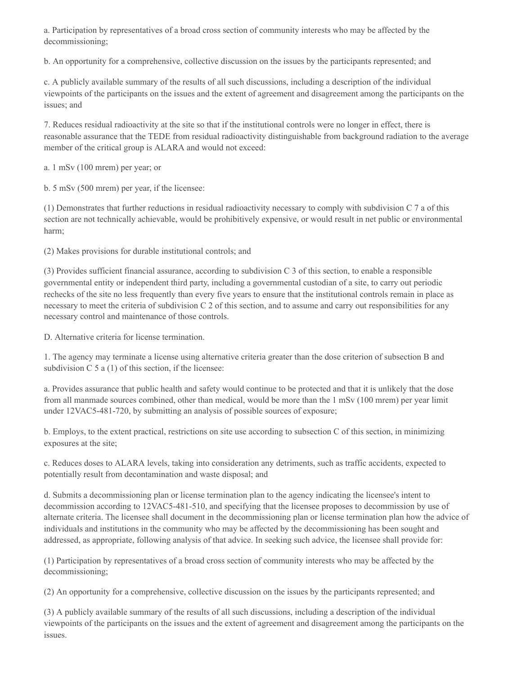a. Participation by representatives of a broad cross section of community interests who may be affected by the decommissioning;

b. An opportunity for a comprehensive, collective discussion on the issues by the participants represented; and

c. A publicly available summary of the results of all such discussions, including a description of the individual viewpoints of the participants on the issues and the extent of agreement and disagreement among the participants on the issues; and

7. Reduces residual radioactivity at the site so that if the institutional controls were no longer in effect, there is reasonable assurance that the TEDE from residual radioactivity distinguishable from background radiation to the average member of the critical group is ALARA and would not exceed:

a. 1 mSv (100 mrem) per year; or

b. 5 mSv (500 mrem) per year, if the licensee:

(1) Demonstrates that further reductions in residual radioactivity necessary to comply with subdivision C 7 a of this section are not technically achievable, would be prohibitively expensive, or would result in net public or environmental harm;

(2) Makes provisions for durable institutional controls; and

(3) Provides sufficient financial assurance, according to subdivision C 3 of this section, to enable a responsible governmental entity or independent third party, including a governmental custodian of a site, to carry out periodic rechecks of the site no less frequently than every five years to ensure that the institutional controls remain in place as necessary to meet the criteria of subdivision C 2 of this section, and to assume and carry out responsibilities for any necessary control and maintenance of those controls.

D. Alternative criteria for license termination.

1. The agency may terminate a license using alternative criteria greater than the dose criterion of subsection B and subdivision  $C$  5 a (1) of this section, if the licensee:

a. Provides assurance that public health and safety would continue to be protected and that it is unlikely that the dose from all manmade sources combined, other than medical, would be more than the 1 mSv (100 mrem) per year limit under 12VAC5-481-720, by submitting an analysis of possible sources of exposure;

b. Employs, to the extent practical, restrictions on site use according to subsection C of this section, in minimizing exposures at the site;

c. Reduces doses to ALARA levels, taking into consideration any detriments, such as traffic accidents, expected to potentially result from decontamination and waste disposal; and

d. Submits a decommissioning plan or license termination plan to the agency indicating the licensee's intent to decommission according to 12VAC5-481-510, and specifying that the licensee proposes to decommission by use of alternate criteria. The licensee shall document in the decommissioning plan or license termination plan how the advice of individuals and institutions in the community who may be affected by the decommissioning has been sought and addressed, as appropriate, following analysis of that advice. In seeking such advice, the licensee shall provide for:

(1) Participation by representatives of a broad cross section of community interests who may be affected by the decommissioning;

(2) An opportunity for a comprehensive, collective discussion on the issues by the participants represented; and

(3) A publicly available summary of the results of all such discussions, including a description of the individual viewpoints of the participants on the issues and the extent of agreement and disagreement among the participants on the issues.